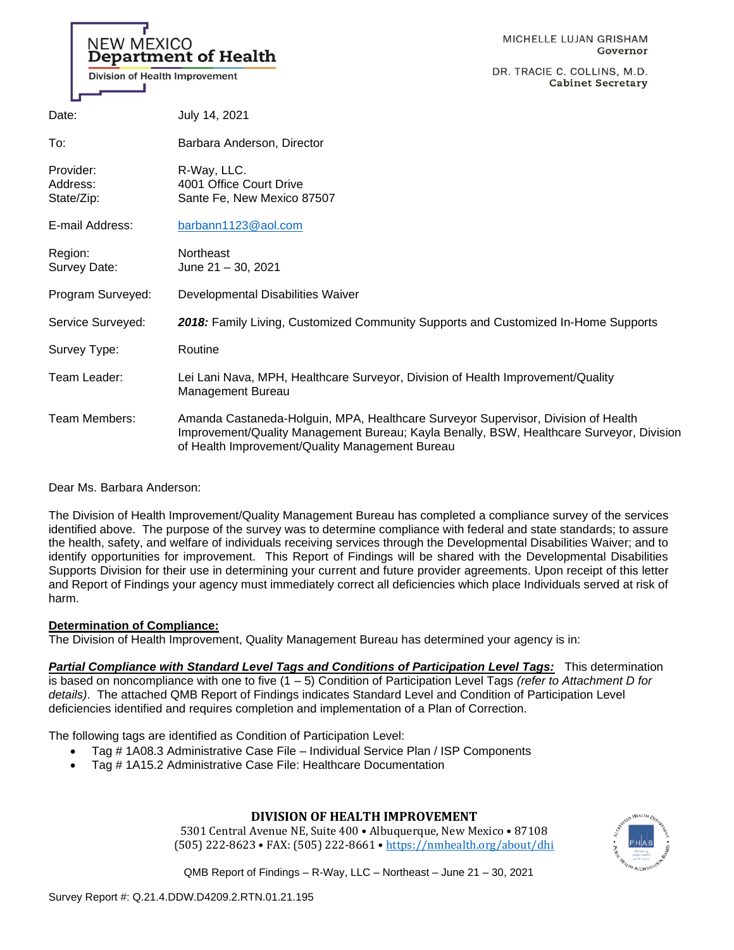# **NEW MEXICO Department of Health**

Division of Health Improvement

DR. TRACIE C. COLLINS, M.D. **Cabinet Secretary** 

| Date:                               | July 14, 2021                                                                                                                                                                                                                    |
|-------------------------------------|----------------------------------------------------------------------------------------------------------------------------------------------------------------------------------------------------------------------------------|
| To:                                 | Barbara Anderson, Director                                                                                                                                                                                                       |
| Provider:<br>Address:<br>State/Zip: | R-Way, LLC.<br>4001 Office Court Drive<br>Sante Fe, New Mexico 87507                                                                                                                                                             |
| E-mail Address:                     | barbann1123@aol.com                                                                                                                                                                                                              |
| Region:<br>Survey Date:             | <b>Northeast</b><br>June 21 - 30, 2021                                                                                                                                                                                           |
| Program Surveyed:                   | Developmental Disabilities Waiver                                                                                                                                                                                                |
| Service Surveyed:                   | 2018: Family Living, Customized Community Supports and Customized In-Home Supports                                                                                                                                               |
| Survey Type:                        | Routine                                                                                                                                                                                                                          |
| Team Leader:                        | Lei Lani Nava, MPH, Healthcare Surveyor, Division of Health Improvement/Quality<br>Management Bureau                                                                                                                             |
| Team Members:                       | Amanda Castaneda-Holguin, MPA, Healthcare Surveyor Supervisor, Division of Health<br>Improvement/Quality Management Bureau; Kayla Benally, BSW, Healthcare Surveyor, Division<br>of Health Improvement/Quality Management Bureau |

Dear Ms. Barbara Anderson:

The Division of Health Improvement/Quality Management Bureau has completed a compliance survey of the services identified above. The purpose of the survey was to determine compliance with federal and state standards; to assure the health, safety, and welfare of individuals receiving services through the Developmental Disabilities Waiver; and to identify opportunities for improvement. This Report of Findings will be shared with the Developmental Disabilities Supports Division for their use in determining your current and future provider agreements. Upon receipt of this letter and Report of Findings your agency must immediately correct all deficiencies which place Individuals served at risk of harm.

## **Determination of Compliance:**

The Division of Health Improvement, Quality Management Bureau has determined your agency is in:

*Partial Compliance with Standard Level Tags and Conditions of Participation Level Tags:* This determination is based on noncompliance with one to five (1 – 5) Condition of Participation Level Tags *(refer to Attachment D for* 

*details)*. The attached QMB Report of Findings indicates Standard Level and Condition of Participation Level deficiencies identified and requires completion and implementation of a Plan of Correction.

The following tags are identified as Condition of Participation Level:

- Tag # 1A08.3 Administrative Case File Individual Service Plan / ISP Components
- Tag # 1A15.2 Administrative Case File: Healthcare Documentation

## **DIVISION OF HEALTH IMPROVEMENT**

5301 Central Avenue NE, Suite 400 • Albuquerque, New Mexico • 87108 (505) 222-8623 • FAX: (505) 222-8661 • <https://nmhealth.org/about/dhi>

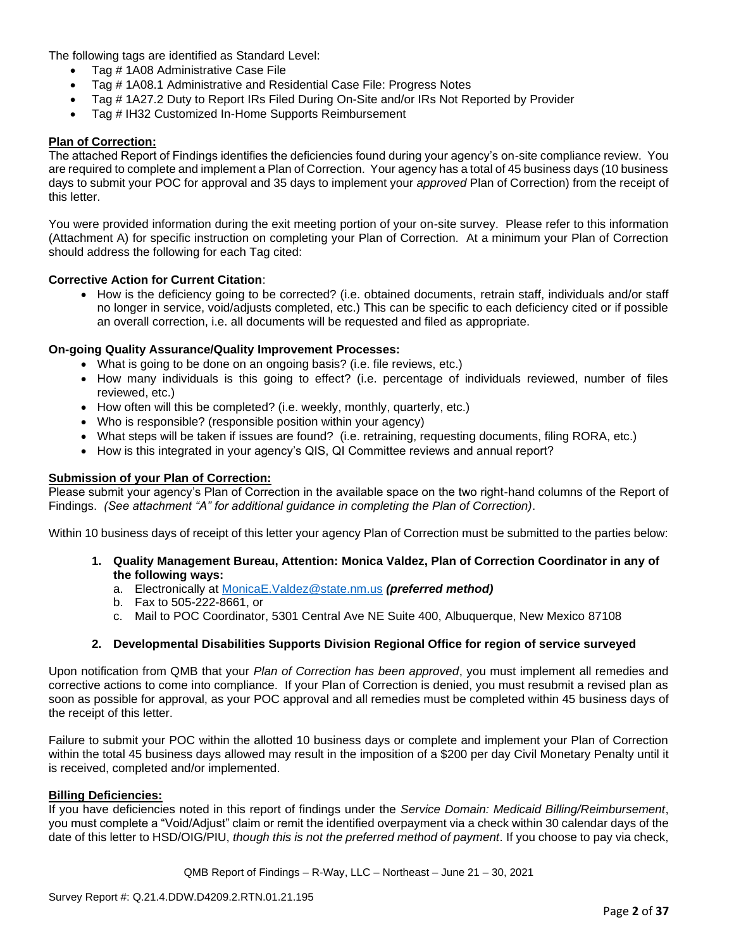The following tags are identified as Standard Level:

- Tag # 1A08 Administrative Case File
- Tag # 1A08.1 Administrative and Residential Case File: Progress Notes
- Tag # 1A27.2 Duty to Report IRs Filed During On-Site and/or IRs Not Reported by Provider
- Tag # IH32 Customized In-Home Supports Reimbursement

## **Plan of Correction:**

The attached Report of Findings identifies the deficiencies found during your agency's on-site compliance review. You are required to complete and implement a Plan of Correction. Your agency has a total of 45 business days (10 business days to submit your POC for approval and 35 days to implement your *approved* Plan of Correction) from the receipt of this letter.

You were provided information during the exit meeting portion of your on-site survey. Please refer to this information (Attachment A) for specific instruction on completing your Plan of Correction. At a minimum your Plan of Correction should address the following for each Tag cited:

## **Corrective Action for Current Citation**:

• How is the deficiency going to be corrected? (i.e. obtained documents, retrain staff, individuals and/or staff no longer in service, void/adjusts completed, etc.) This can be specific to each deficiency cited or if possible an overall correction, i.e. all documents will be requested and filed as appropriate.

## **On-going Quality Assurance/Quality Improvement Processes:**

- What is going to be done on an ongoing basis? (i.e. file reviews, etc.)
- How many individuals is this going to effect? (i.e. percentage of individuals reviewed, number of files reviewed, etc.)
- How often will this be completed? (i.e. weekly, monthly, quarterly, etc.)
- Who is responsible? (responsible position within your agency)
- What steps will be taken if issues are found? (i.e. retraining, requesting documents, filing RORA, etc.)
- How is this integrated in your agency's QIS, QI Committee reviews and annual report?

### **Submission of your Plan of Correction:**

Please submit your agency's Plan of Correction in the available space on the two right-hand columns of the Report of Findings. *(See attachment "A" for additional guidance in completing the Plan of Correction)*.

Within 10 business days of receipt of this letter your agency Plan of Correction must be submitted to the parties below:

- **1. Quality Management Bureau, Attention: Monica Valdez, Plan of Correction Coordinator in any of the following ways:**
	- a. Electronically at [MonicaE.Valdez@state.nm.us](mailto:MonicaE.Valdez@state.nm.us) *(preferred method)*
	- b. Fax to 505-222-8661, or
	- c. Mail to POC Coordinator, 5301 Central Ave NE Suite 400, Albuquerque, New Mexico 87108

## **2. Developmental Disabilities Supports Division Regional Office for region of service surveyed**

Upon notification from QMB that your *Plan of Correction has been approved*, you must implement all remedies and corrective actions to come into compliance. If your Plan of Correction is denied, you must resubmit a revised plan as soon as possible for approval, as your POC approval and all remedies must be completed within 45 business days of the receipt of this letter.

Failure to submit your POC within the allotted 10 business days or complete and implement your Plan of Correction within the total 45 business days allowed may result in the imposition of a \$200 per day Civil Monetary Penalty until it is received, completed and/or implemented.

#### **Billing Deficiencies:**

If you have deficiencies noted in this report of findings under the *Service Domain: Medicaid Billing/Reimbursement*, you must complete a "Void/Adjust" claim or remit the identified overpayment via a check within 30 calendar days of the date of this letter to HSD/OIG/PIU, *though this is not the preferred method of payment*. If you choose to pay via check,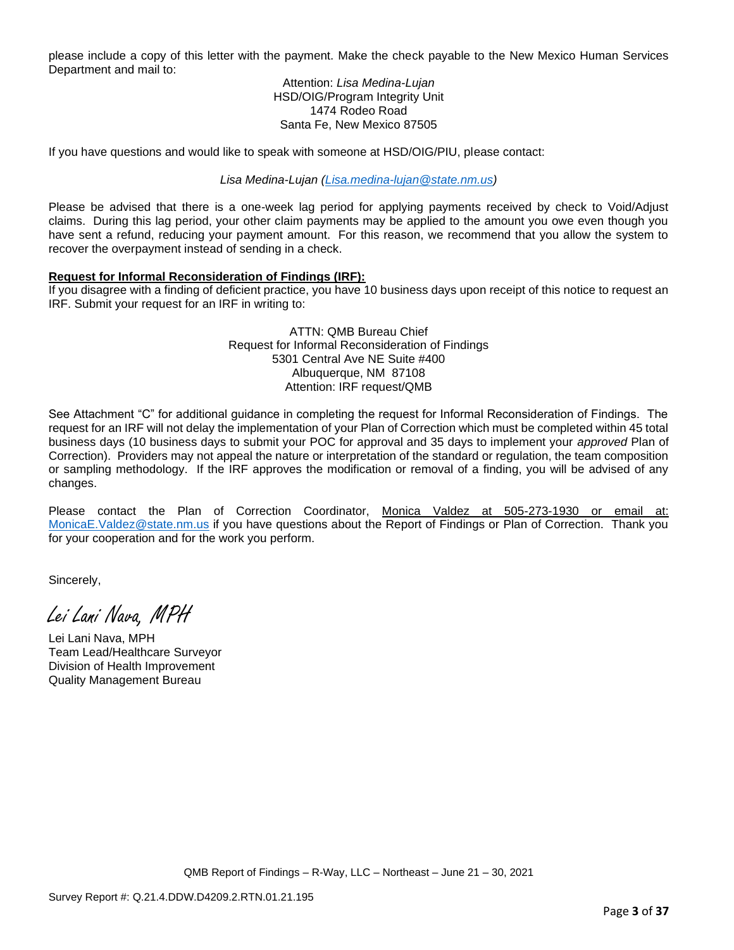please include a copy of this letter with the payment. Make the check payable to the New Mexico Human Services Department and mail to:

> Attention: *Lisa Medina-Lujan* HSD/OIG/Program Integrity Unit 1474 Rodeo Road Santa Fe, New Mexico 87505

If you have questions and would like to speak with someone at HSD/OIG/PIU, please contact:

*Lisa Medina-Lujan [\(Lisa.medina-lujan@state.nm.us\)](mailto:Lisa.medina-lujan@state.nm.us)*

Please be advised that there is a one-week lag period for applying payments received by check to Void/Adjust claims. During this lag period, your other claim payments may be applied to the amount you owe even though you have sent a refund, reducing your payment amount. For this reason, we recommend that you allow the system to recover the overpayment instead of sending in a check.

## **Request for Informal Reconsideration of Findings (IRF):**

If you disagree with a finding of deficient practice, you have 10 business days upon receipt of this notice to request an IRF. Submit your request for an IRF in writing to:

> ATTN: QMB Bureau Chief Request for Informal Reconsideration of Findings 5301 Central Ave NE Suite #400 Albuquerque, NM 87108 Attention: IRF request/QMB

See Attachment "C" for additional guidance in completing the request for Informal Reconsideration of Findings. The request for an IRF will not delay the implementation of your Plan of Correction which must be completed within 45 total business days (10 business days to submit your POC for approval and 35 days to implement your *approved* Plan of Correction). Providers may not appeal the nature or interpretation of the standard or regulation, the team composition or sampling methodology. If the IRF approves the modification or removal of a finding, you will be advised of any changes.

Please contact the Plan of Correction Coordinator, Monica Valdez at 505-273-1930 or email at: [MonicaE.Valdez@state.nm.us](mailto:MonicaE.Valdez@state.nm.us) if you have questions about the Report of Findings or Plan of Correction. Thank you for your cooperation and for the work you perform.

Sincerely,

Lei Lani Nava, MPH

Lei Lani Nava, MPH Team Lead/Healthcare Surveyor Division of Health Improvement Quality Management Bureau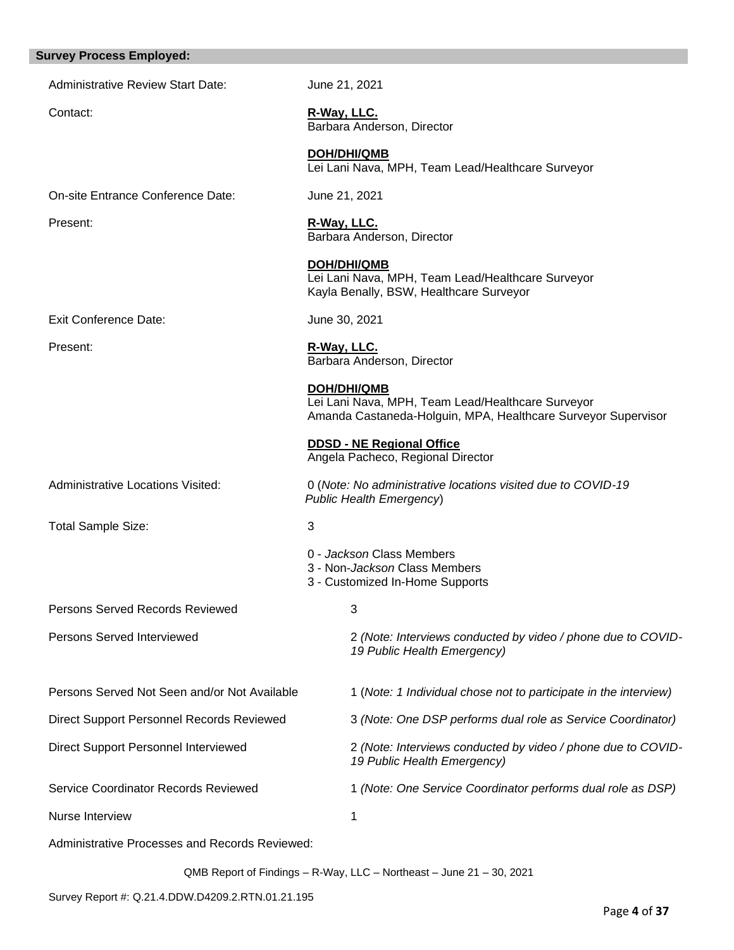#### **Survey Process Employed:**

Administrative Review Start Date: June 21, 2021

Contact: **R-Way, LLC.**  Barbara Anderson, Director

> **DOH/DHI/QMB** Lei Lani Nava, MPH, Team Lead/Healthcare Surveyor

On-site Entrance Conference Date: June 21, 2021

Exit Conference Date: June 30, 2021

Total Sample Size: 3

Present: **R-Way, LLC.** 

Barbara Anderson, Director

**DOH/DHI/QMB** Lei Lani Nava, MPH, Team Lead/Healthcare Surveyor Kayla Benally, BSW, Healthcare Surveyor

Present: **R-Way, LLC.** Barbara Anderson, Director

> **DOH/DHI/QMB** Lei Lani Nava, MPH, Team Lead/Healthcare Surveyor Amanda Castaneda-Holguin, MPA, Healthcare Surveyor Supervisor

**DDSD - NE Regional Office**  Angela Pacheco, Regional Director

Administrative Locations Visited: 0 (*Note: No administrative locations visited due to COVID-19 Public Health Emergency*)

0 - *Jackson* Class Members

- 3 Non-*Jackson* Class Members
- 3 Customized In-Home Supports

*19 Public Health Emergency)*

*19 Public Health Emergency)*

**Persons Served Records Reviewed 3** 

Persons Served Interviewed 2 *(Note: Interviews conducted by video / phone due to COVID-*

Persons Served Not Seen and/or Not Available 1 (*Note: 1 Individual chose not to participate in the interview*)

Direct Support Personnel Records Reviewed 3 *(Note: One DSP performs dual role as Service Coordinator)*

Direct Support Personnel Interviewed 2 *(Note: Interviews conducted by video / phone due to COVID-*

Service Coordinator Records Reviewed 1 *(Note: One Service Coordinator performs dual role as DSP)*

Nurse Interview 1

Administrative Processes and Records Reviewed:

QMB Report of Findings – R-Way, LLC – Northeast – June 21 – 30, 2021

Survey Report #: Q.21.4.DDW.D4209.2.RTN.01.21.195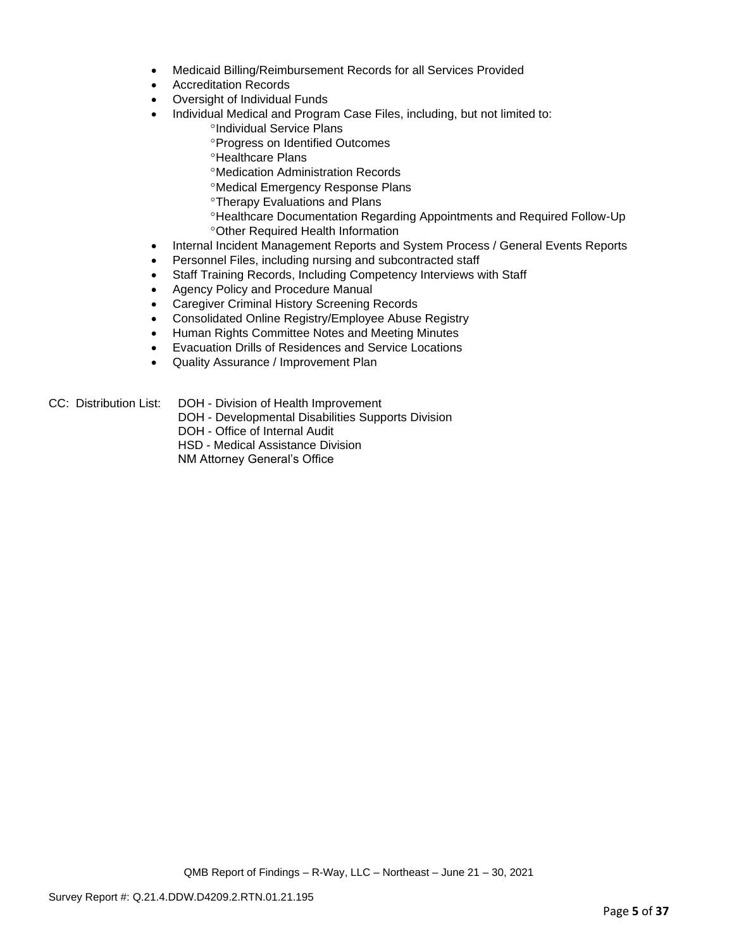- Medicaid Billing/Reimbursement Records for all Services Provided
- Accreditation Records
- Oversight of Individual Funds
- Individual Medical and Program Case Files, including, but not limited to:
	- °Individual Service Plans
	- Progress on Identified Outcomes
	- <sup>o</sup>Healthcare Plans
	- Medication Administration Records
	- Medical Emergency Response Plans
	- Therapy Evaluations and Plans
	- Healthcare Documentation Regarding Appointments and Required Follow-Up Other Required Health Information
- Internal Incident Management Reports and System Process / General Events Reports
- Personnel Files, including nursing and subcontracted staff
- Staff Training Records, Including Competency Interviews with Staff
- Agency Policy and Procedure Manual
- Caregiver Criminal History Screening Records
- Consolidated Online Registry/Employee Abuse Registry
- Human Rights Committee Notes and Meeting Minutes
- Evacuation Drills of Residences and Service Locations
- Quality Assurance / Improvement Plan
- CC: Distribution List: DOH Division of Health Improvement
	- DOH Developmental Disabilities Supports Division
	- DOH Office of Internal Audit
	- HSD Medical Assistance Division
	- NM Attorney General's Office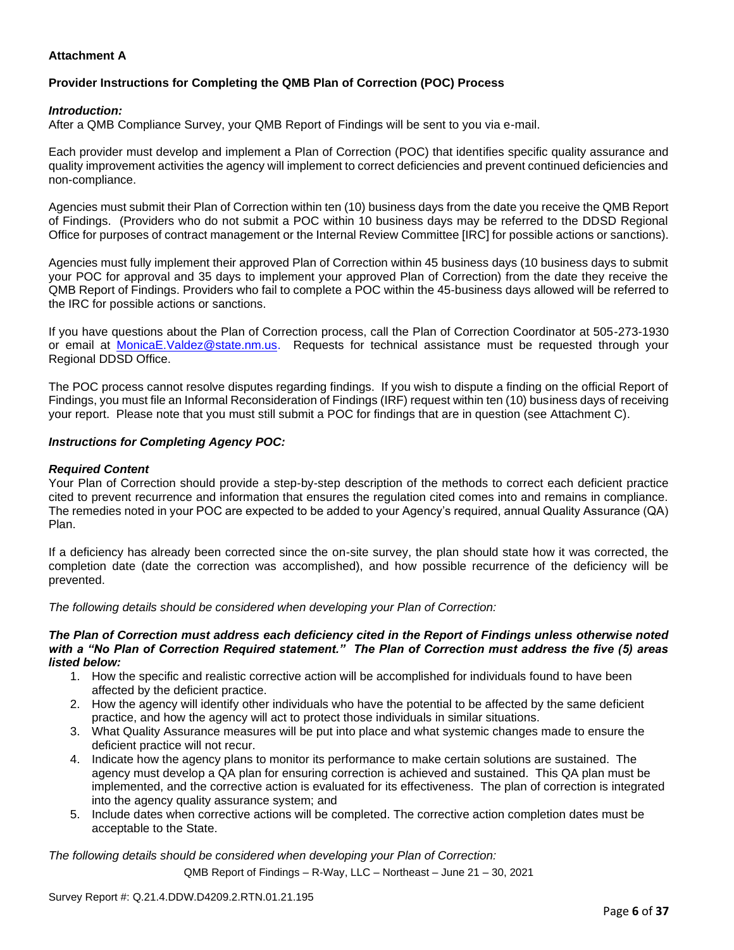## **Attachment A**

## **Provider Instructions for Completing the QMB Plan of Correction (POC) Process**

## *Introduction:*

After a QMB Compliance Survey, your QMB Report of Findings will be sent to you via e-mail.

Each provider must develop and implement a Plan of Correction (POC) that identifies specific quality assurance and quality improvement activities the agency will implement to correct deficiencies and prevent continued deficiencies and non-compliance.

Agencies must submit their Plan of Correction within ten (10) business days from the date you receive the QMB Report of Findings. (Providers who do not submit a POC within 10 business days may be referred to the DDSD Regional Office for purposes of contract management or the Internal Review Committee [IRC] for possible actions or sanctions).

Agencies must fully implement their approved Plan of Correction within 45 business days (10 business days to submit your POC for approval and 35 days to implement your approved Plan of Correction) from the date they receive the QMB Report of Findings. Providers who fail to complete a POC within the 45-business days allowed will be referred to the IRC for possible actions or sanctions.

If you have questions about the Plan of Correction process, call the Plan of Correction Coordinator at 505-273-1930 or email at [MonicaE.Valdez@state.nm.us.](mailto:MonicaE.Valdez@state.nm.us) Requests for technical assistance must be requested through your Regional DDSD Office.

The POC process cannot resolve disputes regarding findings. If you wish to dispute a finding on the official Report of Findings, you must file an Informal Reconsideration of Findings (IRF) request within ten (10) business days of receiving your report. Please note that you must still submit a POC for findings that are in question (see Attachment C).

#### *Instructions for Completing Agency POC:*

### *Required Content*

Your Plan of Correction should provide a step-by-step description of the methods to correct each deficient practice cited to prevent recurrence and information that ensures the regulation cited comes into and remains in compliance. The remedies noted in your POC are expected to be added to your Agency's required, annual Quality Assurance (QA) Plan.

If a deficiency has already been corrected since the on-site survey, the plan should state how it was corrected, the completion date (date the correction was accomplished), and how possible recurrence of the deficiency will be prevented.

*The following details should be considered when developing your Plan of Correction:*

#### *The Plan of Correction must address each deficiency cited in the Report of Findings unless otherwise noted with a "No Plan of Correction Required statement." The Plan of Correction must address the five (5) areas listed below:*

- 1. How the specific and realistic corrective action will be accomplished for individuals found to have been affected by the deficient practice.
- 2. How the agency will identify other individuals who have the potential to be affected by the same deficient practice, and how the agency will act to protect those individuals in similar situations.
- 3. What Quality Assurance measures will be put into place and what systemic changes made to ensure the deficient practice will not recur.
- 4. Indicate how the agency plans to monitor its performance to make certain solutions are sustained. The agency must develop a QA plan for ensuring correction is achieved and sustained. This QA plan must be implemented, and the corrective action is evaluated for its effectiveness. The plan of correction is integrated into the agency quality assurance system; and
- 5. Include dates when corrective actions will be completed. The corrective action completion dates must be acceptable to the State.

*The following details should be considered when developing your Plan of Correction:*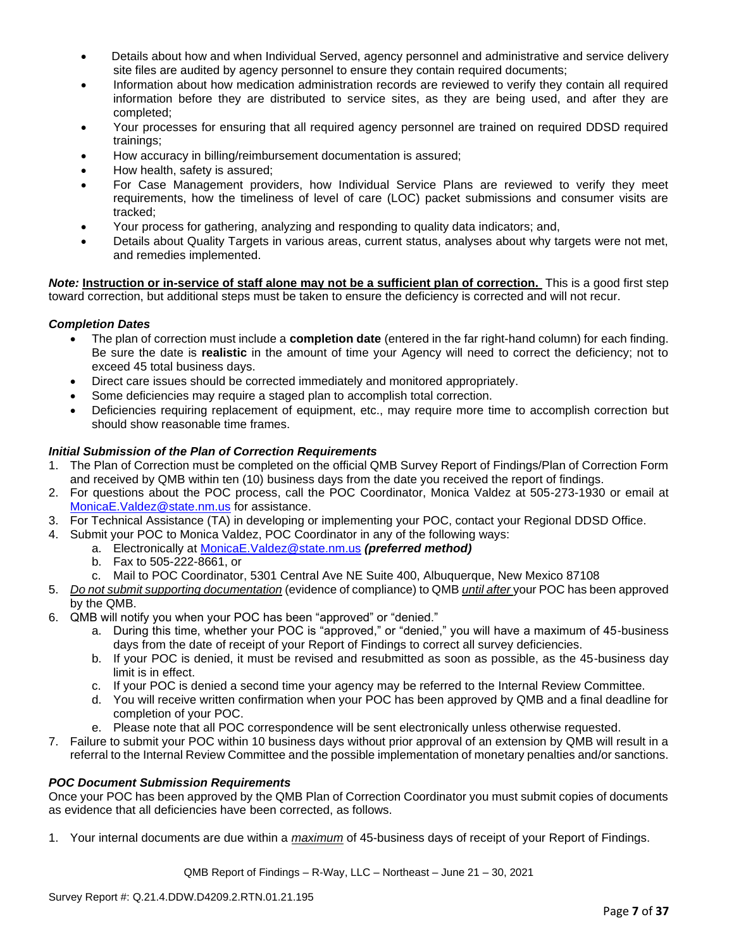- Details about how and when Individual Served, agency personnel and administrative and service delivery site files are audited by agency personnel to ensure they contain required documents;
- Information about how medication administration records are reviewed to verify they contain all required information before they are distributed to service sites, as they are being used, and after they are completed;
- Your processes for ensuring that all required agency personnel are trained on required DDSD required trainings;
- How accuracy in billing/reimbursement documentation is assured;
- How health, safety is assured;
- For Case Management providers, how Individual Service Plans are reviewed to verify they meet requirements, how the timeliness of level of care (LOC) packet submissions and consumer visits are tracked;
- Your process for gathering, analyzing and responding to quality data indicators; and,
- Details about Quality Targets in various areas, current status, analyses about why targets were not met, and remedies implemented.

*Note:* **Instruction or in-service of staff alone may not be a sufficient plan of correction.** This is a good first step toward correction, but additional steps must be taken to ensure the deficiency is corrected and will not recur.

## *Completion Dates*

- The plan of correction must include a **completion date** (entered in the far right-hand column) for each finding. Be sure the date is **realistic** in the amount of time your Agency will need to correct the deficiency; not to exceed 45 total business days.
- Direct care issues should be corrected immediately and monitored appropriately.
- Some deficiencies may require a staged plan to accomplish total correction.
- Deficiencies requiring replacement of equipment, etc., may require more time to accomplish correction but should show reasonable time frames.

## *Initial Submission of the Plan of Correction Requirements*

- 1. The Plan of Correction must be completed on the official QMB Survey Report of Findings/Plan of Correction Form and received by QMB within ten (10) business days from the date you received the report of findings.
- 2. For questions about the POC process, call the POC Coordinator, Monica Valdez at 505-273-1930 or email at [MonicaE.Valdez@state.nm.us](mailto:MonicaE.Valdez@state.nm.us) for assistance.
- 3. For Technical Assistance (TA) in developing or implementing your POC, contact your Regional DDSD Office.
- 4. Submit your POC to Monica Valdez, POC Coordinator in any of the following ways:
	- a. Electronically at [MonicaE.Valdez@state.nm.us](mailto:MonicaE.Valdez@state.nm.us) *(preferred method)*
		- b. Fax to 505-222-8661, or
		- c. Mail to POC Coordinator, 5301 Central Ave NE Suite 400, Albuquerque, New Mexico 87108
- 5. *Do not submit supporting documentation* (evidence of compliance) to QMB *until after* your POC has been approved by the QMB.
- 6. QMB will notify you when your POC has been "approved" or "denied."
	- a. During this time, whether your POC is "approved," or "denied," you will have a maximum of 45-business days from the date of receipt of your Report of Findings to correct all survey deficiencies.
	- b. If your POC is denied, it must be revised and resubmitted as soon as possible, as the 45-business day limit is in effect.
	- c. If your POC is denied a second time your agency may be referred to the Internal Review Committee.
	- d. You will receive written confirmation when your POC has been approved by QMB and a final deadline for completion of your POC.
	- e. Please note that all POC correspondence will be sent electronically unless otherwise requested.
- 7. Failure to submit your POC within 10 business days without prior approval of an extension by QMB will result in a referral to the Internal Review Committee and the possible implementation of monetary penalties and/or sanctions.

#### *POC Document Submission Requirements*

Once your POC has been approved by the QMB Plan of Correction Coordinator you must submit copies of documents as evidence that all deficiencies have been corrected, as follows.

1. Your internal documents are due within a *maximum* of 45-business days of receipt of your Report of Findings.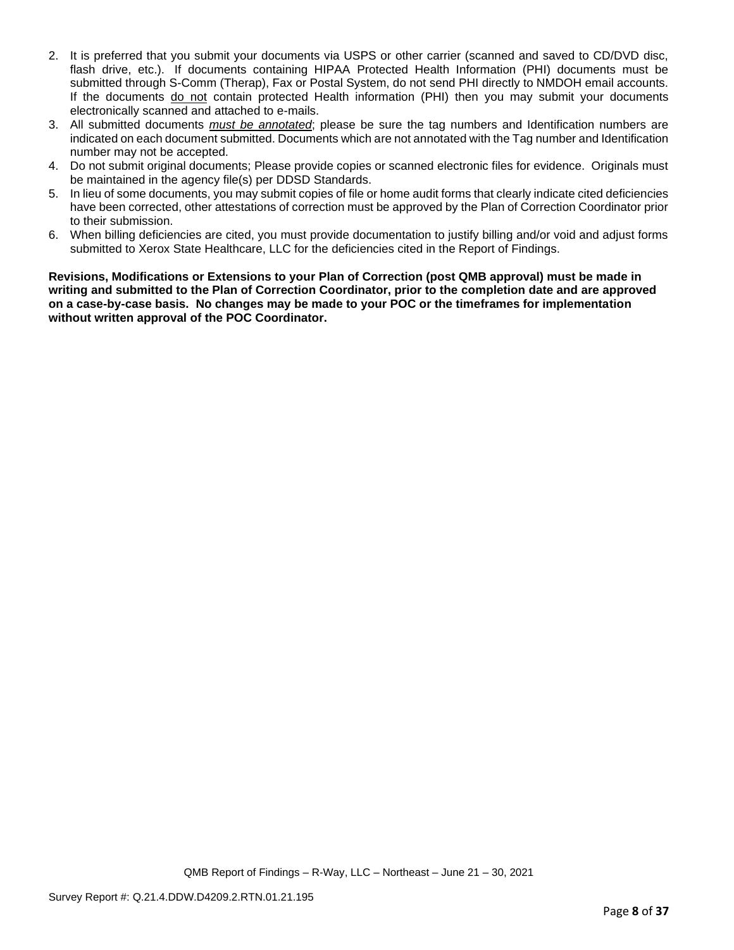- 2. It is preferred that you submit your documents via USPS or other carrier (scanned and saved to CD/DVD disc, flash drive, etc.). If documents containing HIPAA Protected Health Information (PHI) documents must be submitted through S-Comm (Therap), Fax or Postal System, do not send PHI directly to NMDOH email accounts. If the documents do not contain protected Health information (PHI) then you may submit your documents electronically scanned and attached to e-mails.
- 3. All submitted documents *must be annotated*; please be sure the tag numbers and Identification numbers are indicated on each document submitted. Documents which are not annotated with the Tag number and Identification number may not be accepted.
- 4. Do not submit original documents; Please provide copies or scanned electronic files for evidence. Originals must be maintained in the agency file(s) per DDSD Standards.
- 5. In lieu of some documents, you may submit copies of file or home audit forms that clearly indicate cited deficiencies have been corrected, other attestations of correction must be approved by the Plan of Correction Coordinator prior to their submission.
- 6. When billing deficiencies are cited, you must provide documentation to justify billing and/or void and adjust forms submitted to Xerox State Healthcare, LLC for the deficiencies cited in the Report of Findings.

**Revisions, Modifications or Extensions to your Plan of Correction (post QMB approval) must be made in writing and submitted to the Plan of Correction Coordinator, prior to the completion date and are approved on a case-by-case basis. No changes may be made to your POC or the timeframes for implementation without written approval of the POC Coordinator.**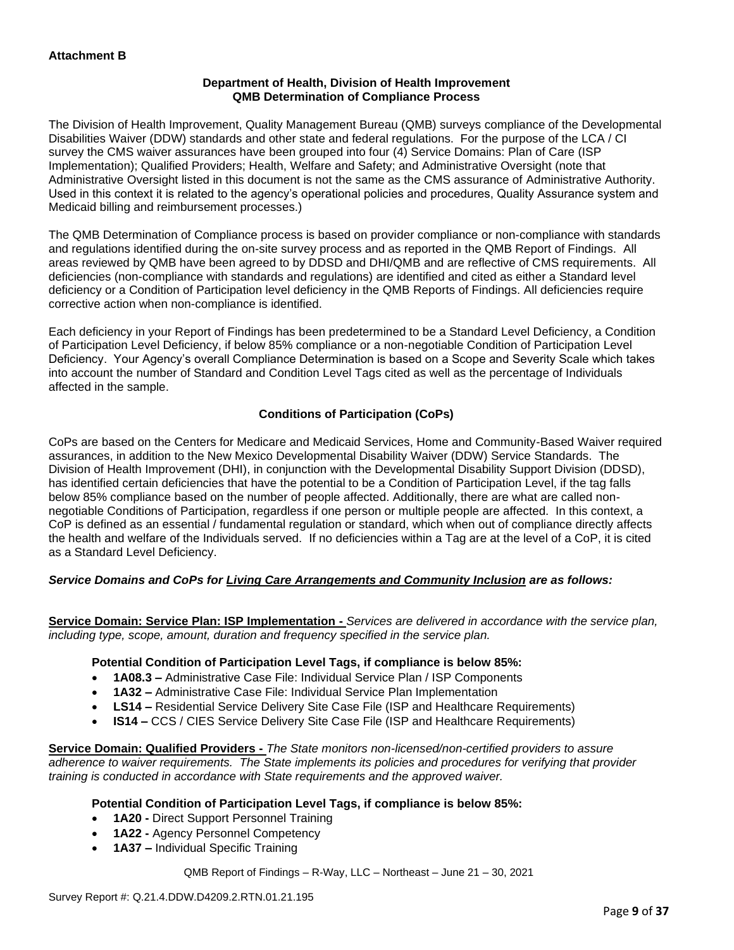## **Department of Health, Division of Health Improvement QMB Determination of Compliance Process**

The Division of Health Improvement, Quality Management Bureau (QMB) surveys compliance of the Developmental Disabilities Waiver (DDW) standards and other state and federal regulations. For the purpose of the LCA / CI survey the CMS waiver assurances have been grouped into four (4) Service Domains: Plan of Care (ISP Implementation); Qualified Providers; Health, Welfare and Safety; and Administrative Oversight (note that Administrative Oversight listed in this document is not the same as the CMS assurance of Administrative Authority. Used in this context it is related to the agency's operational policies and procedures, Quality Assurance system and Medicaid billing and reimbursement processes.)

The QMB Determination of Compliance process is based on provider compliance or non-compliance with standards and regulations identified during the on-site survey process and as reported in the QMB Report of Findings. All areas reviewed by QMB have been agreed to by DDSD and DHI/QMB and are reflective of CMS requirements. All deficiencies (non-compliance with standards and regulations) are identified and cited as either a Standard level deficiency or a Condition of Participation level deficiency in the QMB Reports of Findings. All deficiencies require corrective action when non-compliance is identified.

Each deficiency in your Report of Findings has been predetermined to be a Standard Level Deficiency, a Condition of Participation Level Deficiency, if below 85% compliance or a non-negotiable Condition of Participation Level Deficiency. Your Agency's overall Compliance Determination is based on a Scope and Severity Scale which takes into account the number of Standard and Condition Level Tags cited as well as the percentage of Individuals affected in the sample.

## **Conditions of Participation (CoPs)**

CoPs are based on the Centers for Medicare and Medicaid Services, Home and Community-Based Waiver required assurances, in addition to the New Mexico Developmental Disability Waiver (DDW) Service Standards. The Division of Health Improvement (DHI), in conjunction with the Developmental Disability Support Division (DDSD), has identified certain deficiencies that have the potential to be a Condition of Participation Level, if the tag falls below 85% compliance based on the number of people affected. Additionally, there are what are called nonnegotiable Conditions of Participation, regardless if one person or multiple people are affected. In this context, a CoP is defined as an essential / fundamental regulation or standard, which when out of compliance directly affects the health and welfare of the Individuals served. If no deficiencies within a Tag are at the level of a CoP, it is cited as a Standard Level Deficiency.

## *Service Domains and CoPs for Living Care Arrangements and Community Inclusion are as follows:*

**Service Domain: Service Plan: ISP Implementation -** *Services are delivered in accordance with the service plan, including type, scope, amount, duration and frequency specified in the service plan.*

#### **Potential Condition of Participation Level Tags, if compliance is below 85%:**

- **1A08.3 –** Administrative Case File: Individual Service Plan / ISP Components
- **1A32 –** Administrative Case File: Individual Service Plan Implementation
- **LS14 –** Residential Service Delivery Site Case File (ISP and Healthcare Requirements)
- **IS14 –** CCS / CIES Service Delivery Site Case File (ISP and Healthcare Requirements)

**Service Domain: Qualified Providers -** *The State monitors non-licensed/non-certified providers to assure adherence to waiver requirements. The State implements its policies and procedures for verifying that provider training is conducted in accordance with State requirements and the approved waiver.*

#### **Potential Condition of Participation Level Tags, if compliance is below 85%:**

- **1A20 -** Direct Support Personnel Training
- **1A22 -** Agency Personnel Competency
- **1A37 –** Individual Specific Training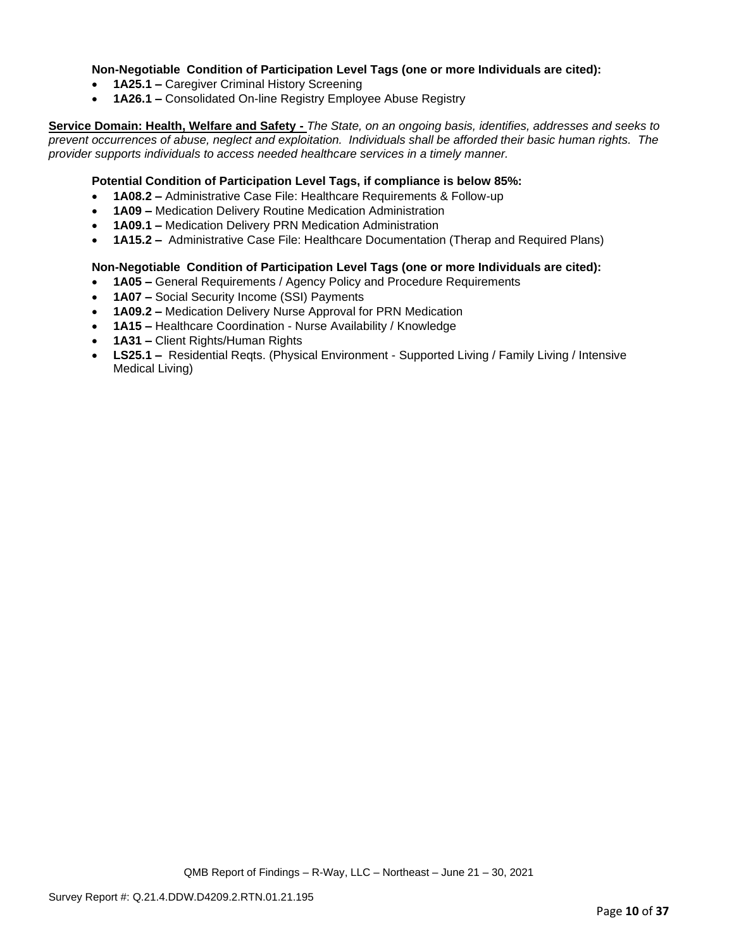## **Non-Negotiable Condition of Participation Level Tags (one or more Individuals are cited):**

- **1A25.1 –** Caregiver Criminal History Screening
- **1A26.1 –** Consolidated On-line Registry Employee Abuse Registry

**Service Domain: Health, Welfare and Safety -** *The State, on an ongoing basis, identifies, addresses and seeks to prevent occurrences of abuse, neglect and exploitation. Individuals shall be afforded their basic human rights. The provider supports individuals to access needed healthcare services in a timely manner.*

### **Potential Condition of Participation Level Tags, if compliance is below 85%:**

- **1A08.2 –** Administrative Case File: Healthcare Requirements & Follow-up
- **1A09 –** Medication Delivery Routine Medication Administration
- **1A09.1 –** Medication Delivery PRN Medication Administration
- **1A15.2 –** Administrative Case File: Healthcare Documentation (Therap and Required Plans)

#### **Non-Negotiable Condition of Participation Level Tags (one or more Individuals are cited):**

- **1A05 –** General Requirements / Agency Policy and Procedure Requirements
- **1A07 –** Social Security Income (SSI) Payments
- **1A09.2 –** Medication Delivery Nurse Approval for PRN Medication
- **1A15 –** Healthcare Coordination Nurse Availability / Knowledge
- **1A31 –** Client Rights/Human Rights
- **LS25.1 –** Residential Reqts. (Physical Environment Supported Living / Family Living / Intensive Medical Living)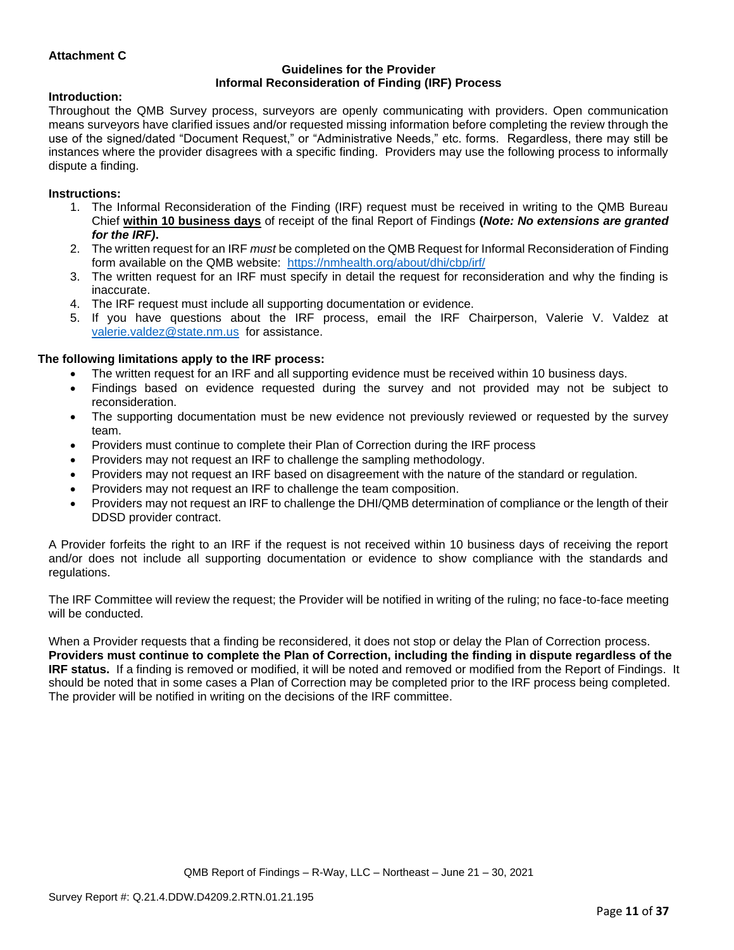## **Attachment C**

#### **Guidelines for the Provider Informal Reconsideration of Finding (IRF) Process**

#### **Introduction:**

Throughout the QMB Survey process, surveyors are openly communicating with providers. Open communication means surveyors have clarified issues and/or requested missing information before completing the review through the use of the signed/dated "Document Request," or "Administrative Needs," etc. forms. Regardless, there may still be instances where the provider disagrees with a specific finding. Providers may use the following process to informally dispute a finding.

#### **Instructions:**

- 1. The Informal Reconsideration of the Finding (IRF) request must be received in writing to the QMB Bureau Chief **within 10 business days** of receipt of the final Report of Findings **(***Note: No extensions are granted for the IRF)***.**
- 2. The written request for an IRF *must* be completed on the QMB Request for Informal Reconsideration of Finding form available on the QMB website: <https://nmhealth.org/about/dhi/cbp/irf/>
- 3. The written request for an IRF must specify in detail the request for reconsideration and why the finding is inaccurate.
- 4. The IRF request must include all supporting documentation or evidence.
- 5. If you have questions about the IRF process, email the IRF Chairperson, Valerie V. Valdez at [valerie.valdez@state.nm.us](mailto:valerie.valdez@state.nm.us) for assistance.

#### **The following limitations apply to the IRF process:**

- The written request for an IRF and all supporting evidence must be received within 10 business days.
- Findings based on evidence requested during the survey and not provided may not be subject to reconsideration.
- The supporting documentation must be new evidence not previously reviewed or requested by the survey team.
- Providers must continue to complete their Plan of Correction during the IRF process
- Providers may not request an IRF to challenge the sampling methodology.
- Providers may not request an IRF based on disagreement with the nature of the standard or regulation.
- Providers may not request an IRF to challenge the team composition.
- Providers may not request an IRF to challenge the DHI/QMB determination of compliance or the length of their DDSD provider contract.

A Provider forfeits the right to an IRF if the request is not received within 10 business days of receiving the report and/or does not include all supporting documentation or evidence to show compliance with the standards and regulations.

The IRF Committee will review the request; the Provider will be notified in writing of the ruling; no face-to-face meeting will be conducted.

When a Provider requests that a finding be reconsidered, it does not stop or delay the Plan of Correction process. **Providers must continue to complete the Plan of Correction, including the finding in dispute regardless of the IRF status.** If a finding is removed or modified, it will be noted and removed or modified from the Report of Findings. It should be noted that in some cases a Plan of Correction may be completed prior to the IRF process being completed. The provider will be notified in writing on the decisions of the IRF committee.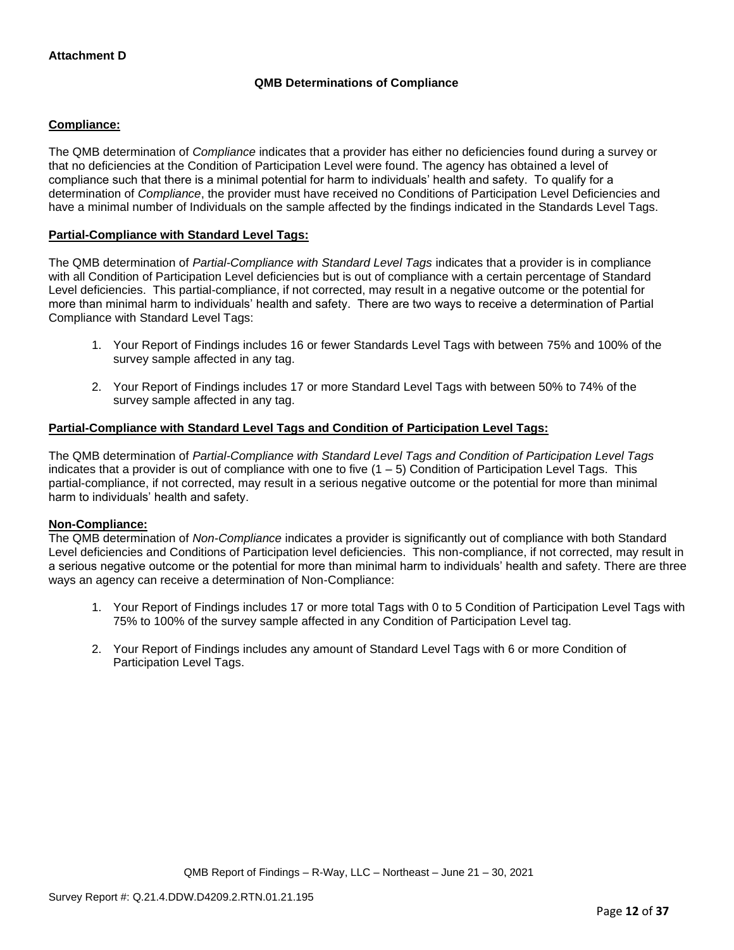## **QMB Determinations of Compliance**

## **Compliance:**

The QMB determination of *Compliance* indicates that a provider has either no deficiencies found during a survey or that no deficiencies at the Condition of Participation Level were found. The agency has obtained a level of compliance such that there is a minimal potential for harm to individuals' health and safety. To qualify for a determination of *Compliance*, the provider must have received no Conditions of Participation Level Deficiencies and have a minimal number of Individuals on the sample affected by the findings indicated in the Standards Level Tags.

## **Partial-Compliance with Standard Level Tags:**

The QMB determination of *Partial-Compliance with Standard Level Tags* indicates that a provider is in compliance with all Condition of Participation Level deficiencies but is out of compliance with a certain percentage of Standard Level deficiencies. This partial-compliance, if not corrected, may result in a negative outcome or the potential for more than minimal harm to individuals' health and safety. There are two ways to receive a determination of Partial Compliance with Standard Level Tags:

- 1. Your Report of Findings includes 16 or fewer Standards Level Tags with between 75% and 100% of the survey sample affected in any tag.
- 2. Your Report of Findings includes 17 or more Standard Level Tags with between 50% to 74% of the survey sample affected in any tag.

## **Partial-Compliance with Standard Level Tags and Condition of Participation Level Tags:**

The QMB determination of *Partial-Compliance with Standard Level Tags and Condition of Participation Level Tags*  indicates that a provider is out of compliance with one to five  $(1 - 5)$  Condition of Participation Level Tags. This partial-compliance, if not corrected, may result in a serious negative outcome or the potential for more than minimal harm to individuals' health and safety.

#### **Non-Compliance:**

The QMB determination of *Non-Compliance* indicates a provider is significantly out of compliance with both Standard Level deficiencies and Conditions of Participation level deficiencies. This non-compliance, if not corrected, may result in a serious negative outcome or the potential for more than minimal harm to individuals' health and safety. There are three ways an agency can receive a determination of Non-Compliance:

- 1. Your Report of Findings includes 17 or more total Tags with 0 to 5 Condition of Participation Level Tags with 75% to 100% of the survey sample affected in any Condition of Participation Level tag.
- 2. Your Report of Findings includes any amount of Standard Level Tags with 6 or more Condition of Participation Level Tags.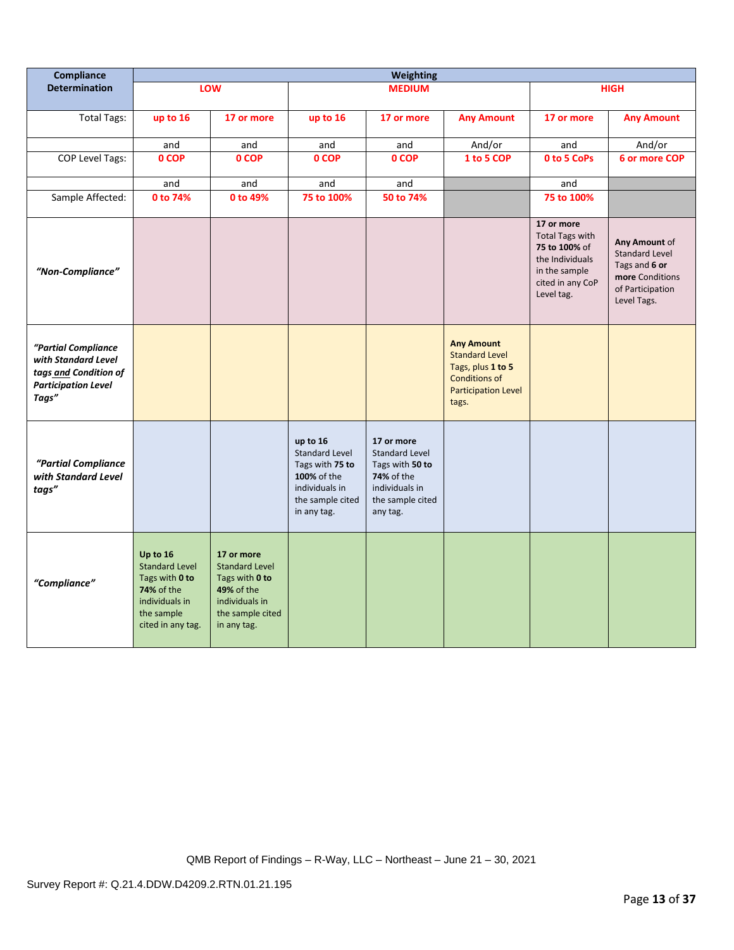| Compliance                                                                                                 | <b>Weighting</b>                                                                                                       |                                                                                                                          |                                                                                                                          |                                                                                                                        |                                                                                                                                |                                                                                                                             |                                                                                                               |
|------------------------------------------------------------------------------------------------------------|------------------------------------------------------------------------------------------------------------------------|--------------------------------------------------------------------------------------------------------------------------|--------------------------------------------------------------------------------------------------------------------------|------------------------------------------------------------------------------------------------------------------------|--------------------------------------------------------------------------------------------------------------------------------|-----------------------------------------------------------------------------------------------------------------------------|---------------------------------------------------------------------------------------------------------------|
| <b>Determination</b>                                                                                       |                                                                                                                        | LOW                                                                                                                      |                                                                                                                          | <b>MEDIUM</b>                                                                                                          |                                                                                                                                |                                                                                                                             | <b>HIGH</b>                                                                                                   |
| <b>Total Tags:</b>                                                                                         | up to 16                                                                                                               | 17 or more                                                                                                               | up to 16                                                                                                                 | 17 or more                                                                                                             | <b>Any Amount</b>                                                                                                              | 17 or more                                                                                                                  | <b>Any Amount</b>                                                                                             |
|                                                                                                            | and                                                                                                                    | and                                                                                                                      | and                                                                                                                      | and                                                                                                                    | And/or                                                                                                                         | and                                                                                                                         | And/or                                                                                                        |
| <b>COP Level Tags:</b>                                                                                     | 0 COP                                                                                                                  | 0 COP                                                                                                                    | 0 COP                                                                                                                    | 0 COP                                                                                                                  | 1 to 5 COP                                                                                                                     | 0 to 5 CoPs                                                                                                                 | 6 or more COP                                                                                                 |
|                                                                                                            | and                                                                                                                    | and                                                                                                                      | and                                                                                                                      | and                                                                                                                    |                                                                                                                                | and                                                                                                                         |                                                                                                               |
| Sample Affected:                                                                                           | 0 to 74%                                                                                                               | 0 to 49%                                                                                                                 | 75 to 100%                                                                                                               | 50 to 74%                                                                                                              |                                                                                                                                | 75 to 100%                                                                                                                  |                                                                                                               |
| "Non-Compliance"                                                                                           |                                                                                                                        |                                                                                                                          |                                                                                                                          |                                                                                                                        |                                                                                                                                | 17 or more<br><b>Total Tags with</b><br>75 to 100% of<br>the Individuals<br>in the sample<br>cited in any CoP<br>Level tag. | Any Amount of<br><b>Standard Level</b><br>Tags and 6 or<br>more Conditions<br>of Participation<br>Level Tags. |
| "Partial Compliance<br>with Standard Level<br>tags and Condition of<br><b>Participation Level</b><br>Tags" |                                                                                                                        |                                                                                                                          |                                                                                                                          |                                                                                                                        | <b>Any Amount</b><br><b>Standard Level</b><br>Tags, plus 1 to 5<br><b>Conditions of</b><br><b>Participation Level</b><br>tags. |                                                                                                                             |                                                                                                               |
| "Partial Compliance<br>with Standard Level<br>tags"                                                        |                                                                                                                        |                                                                                                                          | up to 16<br><b>Standard Level</b><br>Tags with 75 to<br>100% of the<br>individuals in<br>the sample cited<br>in any tag. | 17 or more<br>Standard Level<br>Tags with 50 to<br><b>74%</b> of the<br>individuals in<br>the sample cited<br>any tag. |                                                                                                                                |                                                                                                                             |                                                                                                               |
| "Compliance"                                                                                               | Up to 16<br><b>Standard Level</b><br>Tags with 0 to<br>74% of the<br>individuals in<br>the sample<br>cited in any tag. | 17 or more<br><b>Standard Level</b><br>Tags with 0 to<br>49% of the<br>individuals in<br>the sample cited<br>in any tag. |                                                                                                                          |                                                                                                                        |                                                                                                                                |                                                                                                                             |                                                                                                               |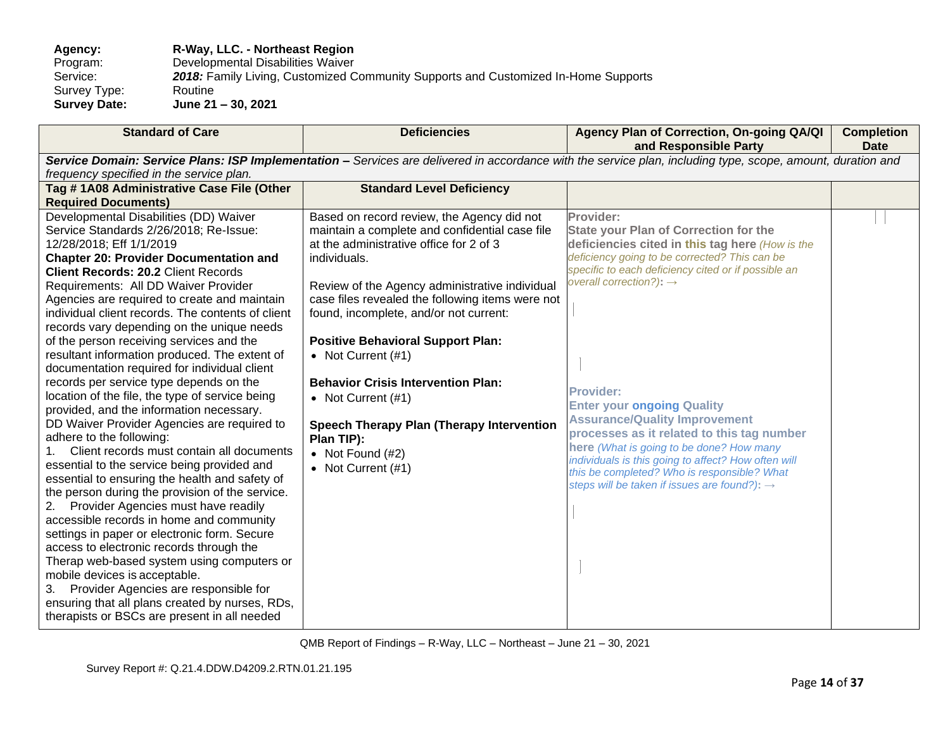**Agency: R-Way, LLC. - Northeast Region** Program: Developmental Disabilities Waiver<br>Service: 2018: Family Living, Customized C 2018: Family Living, Customized Community Supports and Customized In-Home Supports Routine Survey Type:<br>Survey Date: **Survey Date: June 21 – 30, 2021**

| <b>Standard of Care</b>                                                                                                                                     | <b>Deficiencies</b>                                            | Agency Plan of Correction, On-going QA/QI<br>and Responsible Party                         | <b>Completion</b><br><b>Date</b> |
|-------------------------------------------------------------------------------------------------------------------------------------------------------------|----------------------------------------------------------------|--------------------------------------------------------------------------------------------|----------------------------------|
| Service Domain: Service Plans: ISP Implementation - Services are delivered in accordance with the service plan, including type, scope, amount, duration and |                                                                |                                                                                            |                                  |
| frequency specified in the service plan.                                                                                                                    |                                                                |                                                                                            |                                  |
| Tag #1A08 Administrative Case File (Other                                                                                                                   | <b>Standard Level Deficiency</b>                               |                                                                                            |                                  |
| <b>Required Documents)</b>                                                                                                                                  |                                                                |                                                                                            |                                  |
| Developmental Disabilities (DD) Waiver                                                                                                                      | Based on record review, the Agency did not                     | Provider:                                                                                  |                                  |
| Service Standards 2/26/2018; Re-Issue:                                                                                                                      | maintain a complete and confidential case file                 | <b>State your Plan of Correction for the</b>                                               |                                  |
| 12/28/2018; Eff 1/1/2019                                                                                                                                    | at the administrative office for 2 of 3                        | deficiencies cited in this tag here (How is the                                            |                                  |
| <b>Chapter 20: Provider Documentation and</b>                                                                                                               | individuals.                                                   | deficiency going to be corrected? This can be                                              |                                  |
| <b>Client Records: 20.2 Client Records</b>                                                                                                                  |                                                                | specific to each deficiency cited or if possible an<br>overall correction?): $\rightarrow$ |                                  |
| Requirements: All DD Waiver Provider                                                                                                                        | Review of the Agency administrative individual                 |                                                                                            |                                  |
| Agencies are required to create and maintain                                                                                                                | case files revealed the following items were not               |                                                                                            |                                  |
| individual client records. The contents of client                                                                                                           | found, incomplete, and/or not current:                         |                                                                                            |                                  |
| records vary depending on the unique needs                                                                                                                  |                                                                |                                                                                            |                                  |
| of the person receiving services and the                                                                                                                    | <b>Positive Behavioral Support Plan:</b>                       |                                                                                            |                                  |
| resultant information produced. The extent of                                                                                                               | • Not Current $(#1)$                                           |                                                                                            |                                  |
| documentation required for individual client                                                                                                                |                                                                |                                                                                            |                                  |
| records per service type depends on the                                                                                                                     | <b>Behavior Crisis Intervention Plan:</b>                      | <b>Provider:</b>                                                                           |                                  |
| location of the file, the type of service being<br>provided, and the information necessary.                                                                 | • Not Current (#1)                                             | <b>Enter your ongoing Quality</b>                                                          |                                  |
| DD Waiver Provider Agencies are required to                                                                                                                 |                                                                | <b>Assurance/Quality Improvement</b>                                                       |                                  |
| adhere to the following:                                                                                                                                    | <b>Speech Therapy Plan (Therapy Intervention</b><br>Plan TIP): | processes as it related to this tag number                                                 |                                  |
| Client records must contain all documents<br>1.                                                                                                             | • Not Found $(#2)$                                             | here (What is going to be done? How many                                                   |                                  |
| essential to the service being provided and                                                                                                                 | • Not Current $(#1)$                                           | individuals is this going to affect? How often will                                        |                                  |
| essential to ensuring the health and safety of                                                                                                              |                                                                | this be completed? Who is responsible? What                                                |                                  |
| the person during the provision of the service.                                                                                                             |                                                                | steps will be taken if issues are found?): $\rightarrow$                                   |                                  |
| 2. Provider Agencies must have readily                                                                                                                      |                                                                |                                                                                            |                                  |
| accessible records in home and community                                                                                                                    |                                                                |                                                                                            |                                  |
| settings in paper or electronic form. Secure                                                                                                                |                                                                |                                                                                            |                                  |
| access to electronic records through the                                                                                                                    |                                                                |                                                                                            |                                  |
| Therap web-based system using computers or                                                                                                                  |                                                                |                                                                                            |                                  |
| mobile devices is acceptable.                                                                                                                               |                                                                |                                                                                            |                                  |
| 3. Provider Agencies are responsible for                                                                                                                    |                                                                |                                                                                            |                                  |
| ensuring that all plans created by nurses, RDs,                                                                                                             |                                                                |                                                                                            |                                  |
| therapists or BSCs are present in all needed                                                                                                                |                                                                |                                                                                            |                                  |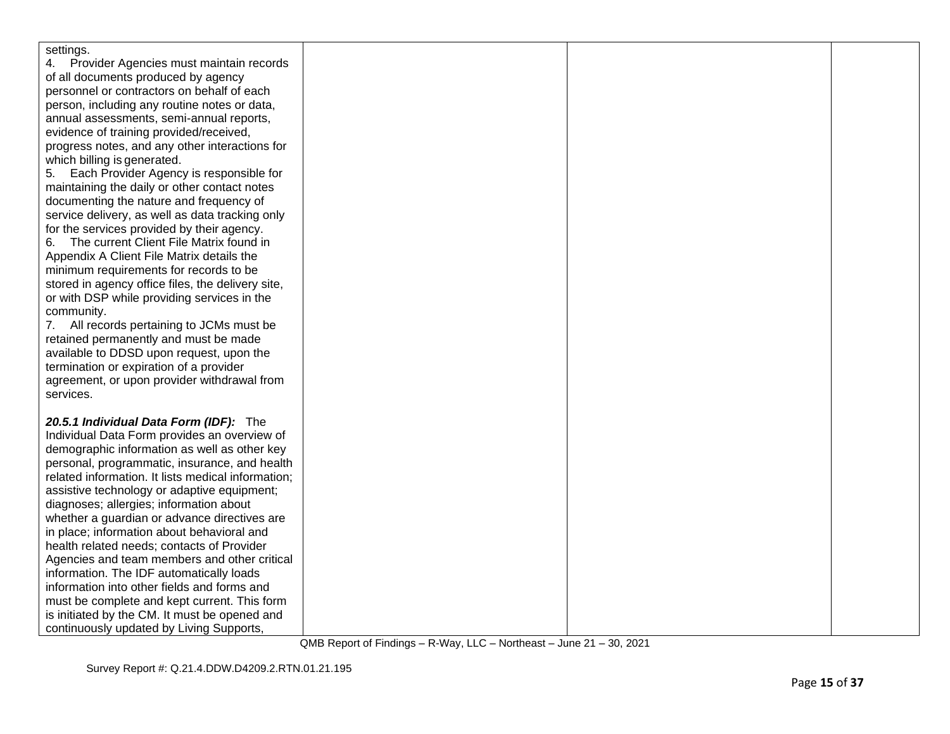| settings.                                          |  |  |
|----------------------------------------------------|--|--|
| Provider Agencies must maintain records            |  |  |
| of all documents produced by agency                |  |  |
| personnel or contractors on behalf of each         |  |  |
| person, including any routine notes or data,       |  |  |
| annual assessments, semi-annual reports,           |  |  |
| evidence of training provided/received,            |  |  |
| progress notes, and any other interactions for     |  |  |
| which billing is generated.                        |  |  |
| Each Provider Agency is responsible for<br>5.      |  |  |
| maintaining the daily or other contact notes       |  |  |
| documenting the nature and frequency of            |  |  |
| service delivery, as well as data tracking only    |  |  |
| for the services provided by their agency.         |  |  |
| The current Client File Matrix found in<br>6.      |  |  |
| Appendix A Client File Matrix details the          |  |  |
| minimum requirements for records to be             |  |  |
| stored in agency office files, the delivery site,  |  |  |
| or with DSP while providing services in the        |  |  |
| community.                                         |  |  |
| 7. All records pertaining to JCMs must be          |  |  |
| retained permanently and must be made              |  |  |
| available to DDSD upon request, upon the           |  |  |
| termination or expiration of a provider            |  |  |
| agreement, or upon provider withdrawal from        |  |  |
| services.                                          |  |  |
|                                                    |  |  |
| 20.5.1 Individual Data Form (IDF): The             |  |  |
| Individual Data Form provides an overview of       |  |  |
| demographic information as well as other key       |  |  |
| personal, programmatic, insurance, and health      |  |  |
| related information. It lists medical information; |  |  |
| assistive technology or adaptive equipment;        |  |  |
| diagnoses; allergies; information about            |  |  |
| whether a guardian or advance directives are       |  |  |
| in place; information about behavioral and         |  |  |
| health related needs; contacts of Provider         |  |  |
| Agencies and team members and other critical       |  |  |
| information. The IDF automatically loads           |  |  |
| information into other fields and forms and        |  |  |
| must be complete and kept current. This form       |  |  |
| is initiated by the CM. It must be opened and      |  |  |
| continuously updated by Living Supports,           |  |  |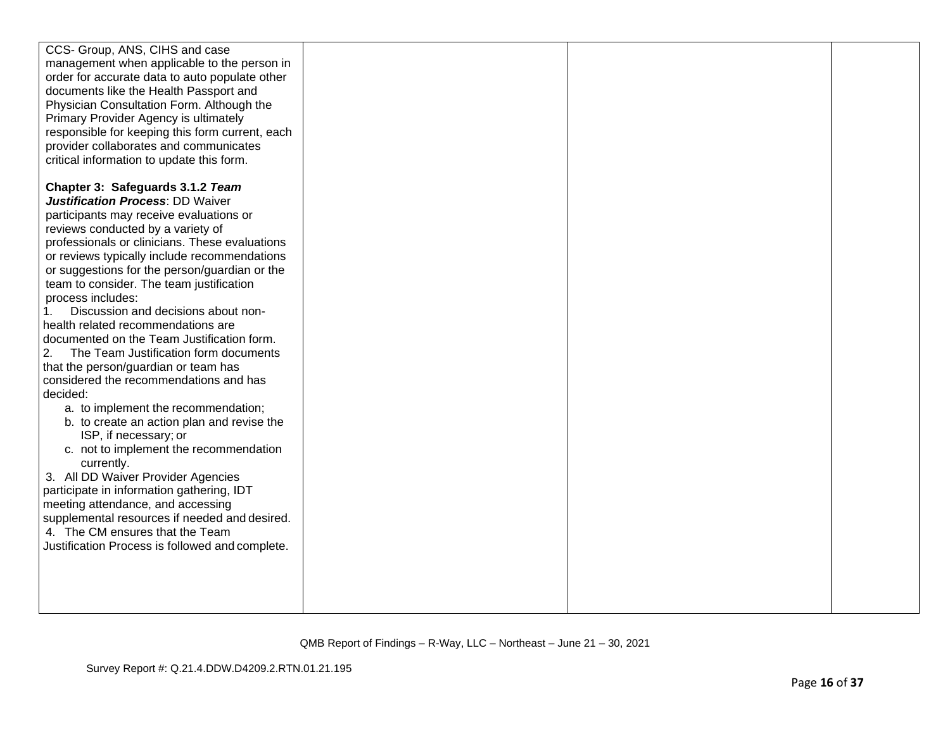| CCS- Group, ANS, CIHS and case                  |  |  |
|-------------------------------------------------|--|--|
| management when applicable to the person in     |  |  |
| order for accurate data to auto populate other  |  |  |
| documents like the Health Passport and          |  |  |
| Physician Consultation Form. Although the       |  |  |
| Primary Provider Agency is ultimately           |  |  |
| responsible for keeping this form current, each |  |  |
| provider collaborates and communicates          |  |  |
| critical information to update this form.       |  |  |
|                                                 |  |  |
| Chapter 3: Safeguards 3.1.2 Team                |  |  |
| <b>Justification Process: DD Waiver</b>         |  |  |
| participants may receive evaluations or         |  |  |
| reviews conducted by a variety of               |  |  |
| professionals or clinicians. These evaluations  |  |  |
| or reviews typically include recommendations    |  |  |
| or suggestions for the person/guardian or the   |  |  |
| team to consider. The team justification        |  |  |
| process includes:                               |  |  |
| Discussion and decisions about non-<br>1.       |  |  |
| health related recommendations are              |  |  |
| documented on the Team Justification form.      |  |  |
| 2.<br>The Team Justification form documents     |  |  |
| that the person/guardian or team has            |  |  |
| considered the recommendations and has          |  |  |
| decided:                                        |  |  |
| a. to implement the recommendation;             |  |  |
| b. to create an action plan and revise the      |  |  |
| ISP, if necessary; or                           |  |  |
| c. not to implement the recommendation          |  |  |
| currently.                                      |  |  |
| 3. All DD Waiver Provider Agencies              |  |  |
| participate in information gathering, IDT       |  |  |
| meeting attendance, and accessing               |  |  |
| supplemental resources if needed and desired.   |  |  |
| 4. The CM ensures that the Team                 |  |  |
| Justification Process is followed and complete. |  |  |
|                                                 |  |  |
|                                                 |  |  |
|                                                 |  |  |
|                                                 |  |  |
|                                                 |  |  |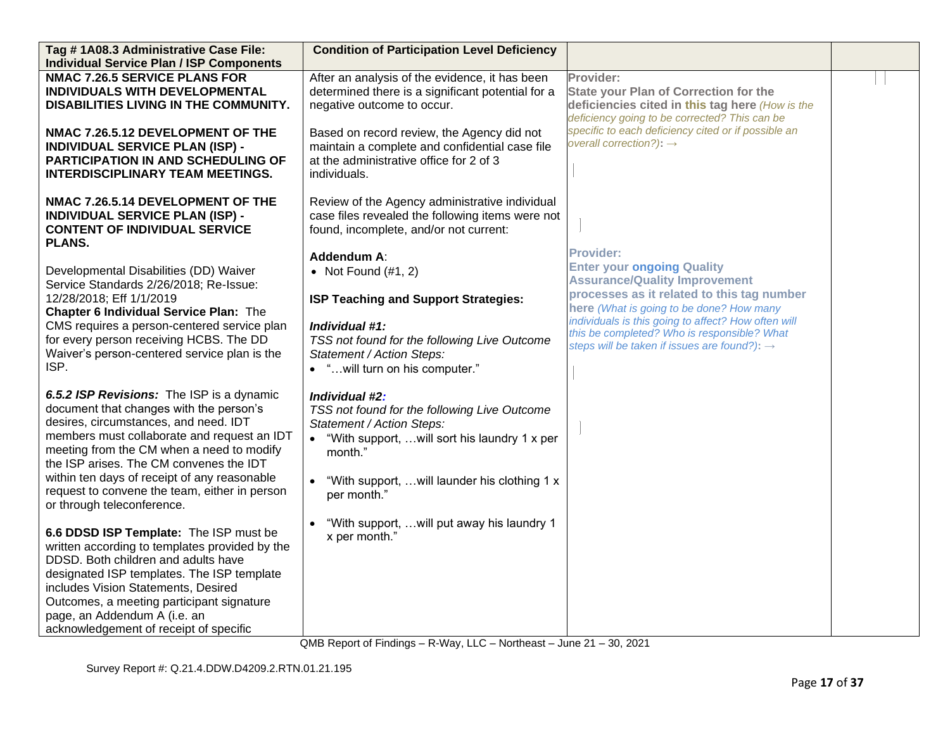| Tag #1A08.3 Administrative Case File:                                                                                                                                                                                                                                                                                                                                                               | <b>Condition of Participation Level Deficiency</b>                                                                                                                                                                                 |                                                                                                                                             |  |
|-----------------------------------------------------------------------------------------------------------------------------------------------------------------------------------------------------------------------------------------------------------------------------------------------------------------------------------------------------------------------------------------------------|------------------------------------------------------------------------------------------------------------------------------------------------------------------------------------------------------------------------------------|---------------------------------------------------------------------------------------------------------------------------------------------|--|
| <b>Individual Service Plan / ISP Components</b>                                                                                                                                                                                                                                                                                                                                                     |                                                                                                                                                                                                                                    |                                                                                                                                             |  |
| <b>NMAC 7.26.5 SERVICE PLANS FOR</b>                                                                                                                                                                                                                                                                                                                                                                | After an analysis of the evidence, it has been                                                                                                                                                                                     | Provider:                                                                                                                                   |  |
| INDIVIDUALS WITH DEVELOPMENTAL                                                                                                                                                                                                                                                                                                                                                                      | determined there is a significant potential for a                                                                                                                                                                                  | <b>State your Plan of Correction for the</b>                                                                                                |  |
| DISABILITIES LIVING IN THE COMMUNITY.                                                                                                                                                                                                                                                                                                                                                               | negative outcome to occur.                                                                                                                                                                                                         | deficiencies cited in this tag here (How is the                                                                                             |  |
| NMAC 7.26.5.12 DEVELOPMENT OF THE<br><b>INDIVIDUAL SERVICE PLAN (ISP) -</b><br><b>PARTICIPATION IN AND SCHEDULING OF</b><br><b>INTERDISCIPLINARY TEAM MEETINGS.</b>                                                                                                                                                                                                                                 | Based on record review, the Agency did not<br>maintain a complete and confidential case file<br>at the administrative office for 2 of 3<br>individuals.                                                                            | deficiency going to be corrected? This can be<br>specific to each deficiency cited or if possible an<br>overall correction?): $\rightarrow$ |  |
| NMAC 7.26.5.14 DEVELOPMENT OF THE<br><b>INDIVIDUAL SERVICE PLAN (ISP) -</b><br><b>CONTENT OF INDIVIDUAL SERVICE</b><br>PLANS.                                                                                                                                                                                                                                                                       | Review of the Agency administrative individual<br>case files revealed the following items were not<br>found, incomplete, and/or not current:                                                                                       |                                                                                                                                             |  |
| Developmental Disabilities (DD) Waiver<br>Service Standards 2/26/2018; Re-Issue:                                                                                                                                                                                                                                                                                                                    | Addendum A:<br>• Not Found $(\#1, 2)$                                                                                                                                                                                              | <b>Provider:</b><br><b>Enter your ongoing Quality</b><br><b>Assurance/Quality Improvement</b>                                               |  |
| 12/28/2018; Eff 1/1/2019<br><b>Chapter 6 Individual Service Plan: The</b>                                                                                                                                                                                                                                                                                                                           | ISP Teaching and Support Strategies:                                                                                                                                                                                               | processes as it related to this tag number<br>here (What is going to be done? How many                                                      |  |
| CMS requires a person-centered service plan                                                                                                                                                                                                                                                                                                                                                         | Individual #1:                                                                                                                                                                                                                     | individuals is this going to affect? How often will                                                                                         |  |
| for every person receiving HCBS. The DD                                                                                                                                                                                                                                                                                                                                                             | TSS not found for the following Live Outcome                                                                                                                                                                                       | this be completed? Who is responsible? What<br>steps will be taken if issues are found?): $\rightarrow$                                     |  |
| Waiver's person-centered service plan is the                                                                                                                                                                                                                                                                                                                                                        | Statement / Action Steps:                                                                                                                                                                                                          |                                                                                                                                             |  |
| ISP.                                                                                                                                                                                                                                                                                                                                                                                                | • "will turn on his computer."                                                                                                                                                                                                     |                                                                                                                                             |  |
| 6.5.2 ISP Revisions: The ISP is a dynamic<br>document that changes with the person's<br>desires, circumstances, and need. IDT<br>members must collaborate and request an IDT<br>meeting from the CM when a need to modify<br>the ISP arises. The CM convenes the IDT<br>within ten days of receipt of any reasonable<br>request to convene the team, either in person<br>or through teleconference. | Individual #2:<br>TSS not found for the following Live Outcome<br>Statement / Action Steps:<br>"With support, will sort his laundry 1 x per<br>month."<br>"With support, will launder his clothing 1 x<br>$\bullet$<br>per month." |                                                                                                                                             |  |
| 6.6 DDSD ISP Template: The ISP must be<br>written according to templates provided by the<br>DDSD. Both children and adults have<br>designated ISP templates. The ISP template<br>includes Vision Statements, Desired<br>Outcomes, a meeting participant signature<br>page, an Addendum A (i.e. an<br>acknowledgement of receipt of specific                                                         | "With support,  will put away his laundry 1<br>x per month."                                                                                                                                                                       |                                                                                                                                             |  |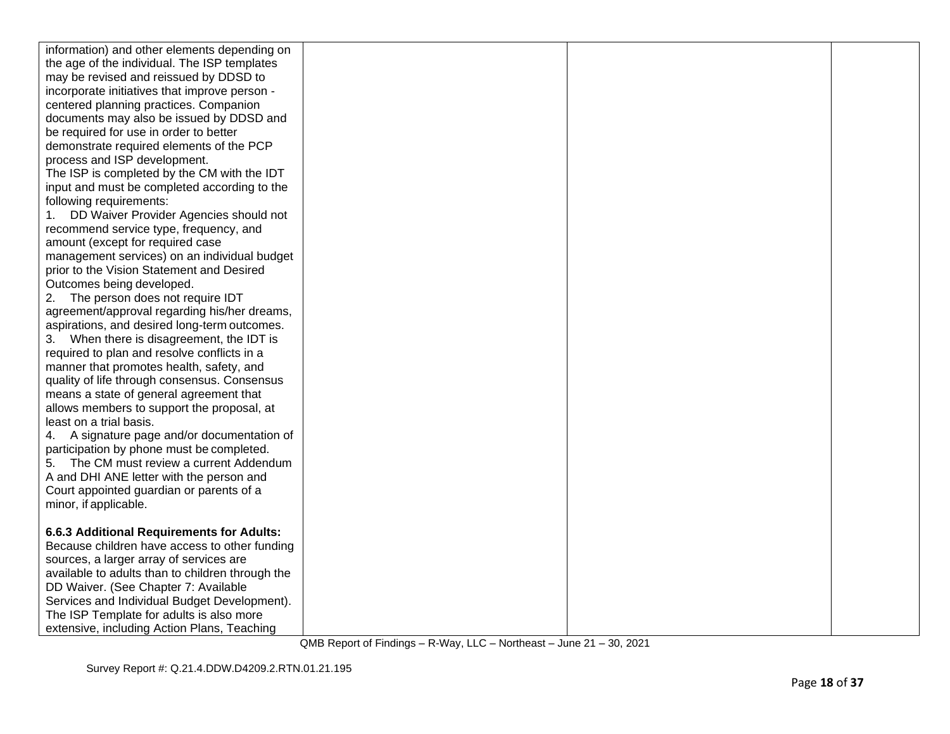| information) and other elements depending on     |  |  |
|--------------------------------------------------|--|--|
| the age of the individual. The ISP templates     |  |  |
| may be revised and reissued by DDSD to           |  |  |
| incorporate initiatives that improve person -    |  |  |
| centered planning practices. Companion           |  |  |
| documents may also be issued by DDSD and         |  |  |
| be required for use in order to better           |  |  |
| demonstrate required elements of the PCP         |  |  |
| process and ISP development.                     |  |  |
| The ISP is completed by the CM with the IDT      |  |  |
| input and must be completed according to the     |  |  |
| following requirements:                          |  |  |
| DD Waiver Provider Agencies should not           |  |  |
| recommend service type, frequency, and           |  |  |
| amount (except for required case                 |  |  |
| management services) on an individual budget     |  |  |
| prior to the Vision Statement and Desired        |  |  |
| Outcomes being developed.                        |  |  |
| The person does not require IDT<br>2.            |  |  |
| agreement/approval regarding his/her dreams,     |  |  |
| aspirations, and desired long-term outcomes.     |  |  |
| 3. When there is disagreement, the IDT is        |  |  |
| required to plan and resolve conflicts in a      |  |  |
| manner that promotes health, safety, and         |  |  |
| quality of life through consensus. Consensus     |  |  |
| means a state of general agreement that          |  |  |
| allows members to support the proposal, at       |  |  |
| least on a trial basis.                          |  |  |
| 4. A signature page and/or documentation of      |  |  |
| participation by phone must be completed.        |  |  |
| 5. The CM must review a current Addendum         |  |  |
| A and DHI ANE letter with the person and         |  |  |
| Court appointed guardian or parents of a         |  |  |
| minor, if applicable.                            |  |  |
|                                                  |  |  |
| 6.6.3 Additional Requirements for Adults:        |  |  |
| Because children have access to other funding    |  |  |
| sources, a larger array of services are          |  |  |
| available to adults than to children through the |  |  |
| DD Waiver. (See Chapter 7: Available             |  |  |
| Services and Individual Budget Development).     |  |  |
| The ISP Template for adults is also more         |  |  |
| extensive, including Action Plans, Teaching      |  |  |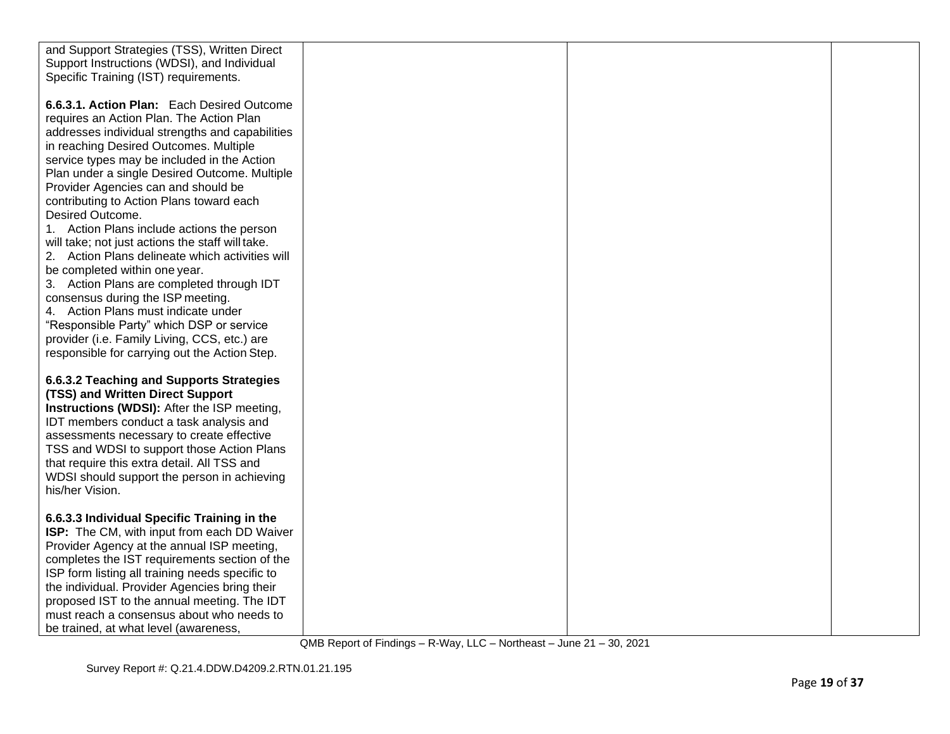| and Support Strategies (TSS), Written Direct       |  |  |
|----------------------------------------------------|--|--|
| Support Instructions (WDSI), and Individual        |  |  |
| Specific Training (IST) requirements.              |  |  |
|                                                    |  |  |
| 6.6.3.1. Action Plan: Each Desired Outcome         |  |  |
| requires an Action Plan. The Action Plan           |  |  |
| addresses individual strengths and capabilities    |  |  |
| in reaching Desired Outcomes. Multiple             |  |  |
| service types may be included in the Action        |  |  |
| Plan under a single Desired Outcome. Multiple      |  |  |
| Provider Agencies can and should be                |  |  |
| contributing to Action Plans toward each           |  |  |
| Desired Outcome.                                   |  |  |
| 1. Action Plans include actions the person         |  |  |
| will take; not just actions the staff will take.   |  |  |
| 2. Action Plans delineate which activities will    |  |  |
| be completed within one year.                      |  |  |
| 3. Action Plans are completed through IDT          |  |  |
| consensus during the ISP meeting.                  |  |  |
| 4. Action Plans must indicate under                |  |  |
| "Responsible Party" which DSP or service           |  |  |
| provider (i.e. Family Living, CCS, etc.) are       |  |  |
| responsible for carrying out the Action Step.      |  |  |
|                                                    |  |  |
| 6.6.3.2 Teaching and Supports Strategies           |  |  |
| (TSS) and Written Direct Support                   |  |  |
| <b>Instructions (WDSI):</b> After the ISP meeting, |  |  |
| IDT members conduct a task analysis and            |  |  |
| assessments necessary to create effective          |  |  |
| TSS and WDSI to support those Action Plans         |  |  |
| that require this extra detail. All TSS and        |  |  |
| WDSI should support the person in achieving        |  |  |
| his/her Vision.                                    |  |  |
|                                                    |  |  |
| 6.6.3.3 Individual Specific Training in the        |  |  |
| ISP: The CM, with input from each DD Waiver        |  |  |
| Provider Agency at the annual ISP meeting,         |  |  |
| completes the IST requirements section of the      |  |  |
| ISP form listing all training needs specific to    |  |  |
| the individual. Provider Agencies bring their      |  |  |
| proposed IST to the annual meeting. The IDT        |  |  |
| must reach a consensus about who needs to          |  |  |
| be trained, at what level (awareness,              |  |  |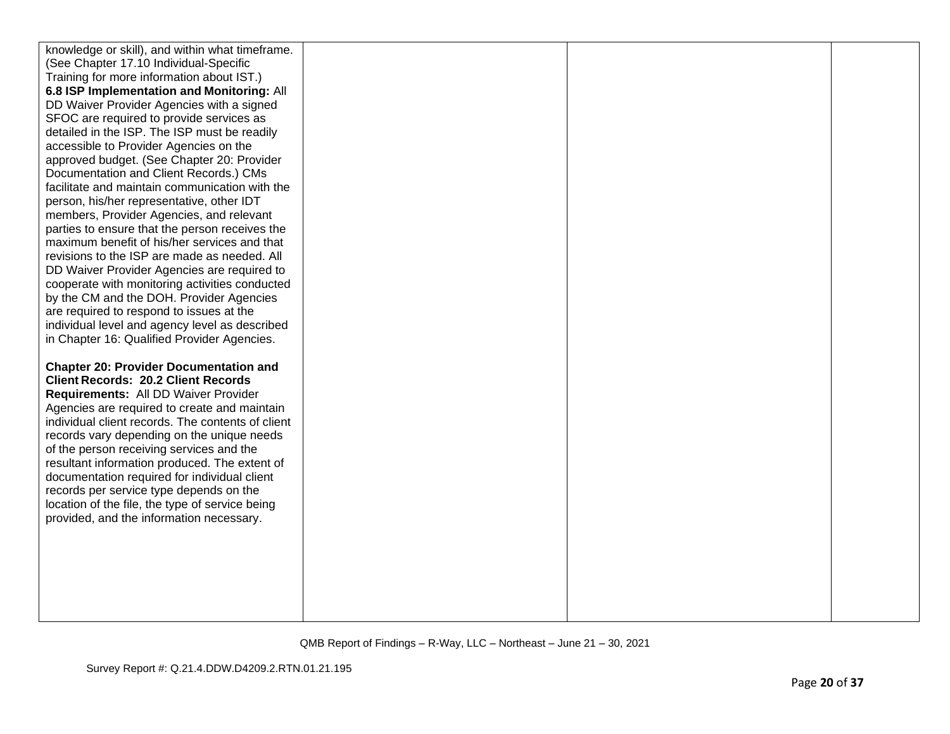| knowledge or skill), and within what timeframe.                                         |  |  |
|-----------------------------------------------------------------------------------------|--|--|
| (See Chapter 17.10 Individual-Specific                                                  |  |  |
| Training for more information about IST.)                                               |  |  |
| 6.8 ISP Implementation and Monitoring: All                                              |  |  |
| DD Waiver Provider Agencies with a signed                                               |  |  |
| SFOC are required to provide services as                                                |  |  |
| detailed in the ISP. The ISP must be readily                                            |  |  |
| accessible to Provider Agencies on the                                                  |  |  |
| approved budget. (See Chapter 20: Provider                                              |  |  |
| Documentation and Client Records.) CMs                                                  |  |  |
| facilitate and maintain communication with the                                          |  |  |
| person, his/her representative, other IDT                                               |  |  |
| members, Provider Agencies, and relevant                                                |  |  |
| parties to ensure that the person receives the                                          |  |  |
| maximum benefit of his/her services and that                                            |  |  |
| revisions to the ISP are made as needed. All                                            |  |  |
| DD Waiver Provider Agencies are required to                                             |  |  |
| cooperate with monitoring activities conducted                                          |  |  |
| by the CM and the DOH. Provider Agencies                                                |  |  |
| are required to respond to issues at the                                                |  |  |
| individual level and agency level as described                                          |  |  |
| in Chapter 16: Qualified Provider Agencies.                                             |  |  |
|                                                                                         |  |  |
| <b>Chapter 20: Provider Documentation and</b>                                           |  |  |
| <b>Client Records: 20.2 Client Records</b>                                              |  |  |
| Requirements: All DD Waiver Provider                                                    |  |  |
| Agencies are required to create and maintain                                            |  |  |
| individual client records. The contents of client                                       |  |  |
| records vary depending on the unique needs                                              |  |  |
| of the person receiving services and the                                                |  |  |
| resultant information produced. The extent of                                           |  |  |
| documentation required for individual client<br>records per service type depends on the |  |  |
| location of the file, the type of service being                                         |  |  |
| provided, and the information necessary.                                                |  |  |
|                                                                                         |  |  |
|                                                                                         |  |  |
|                                                                                         |  |  |
|                                                                                         |  |  |
|                                                                                         |  |  |
|                                                                                         |  |  |
|                                                                                         |  |  |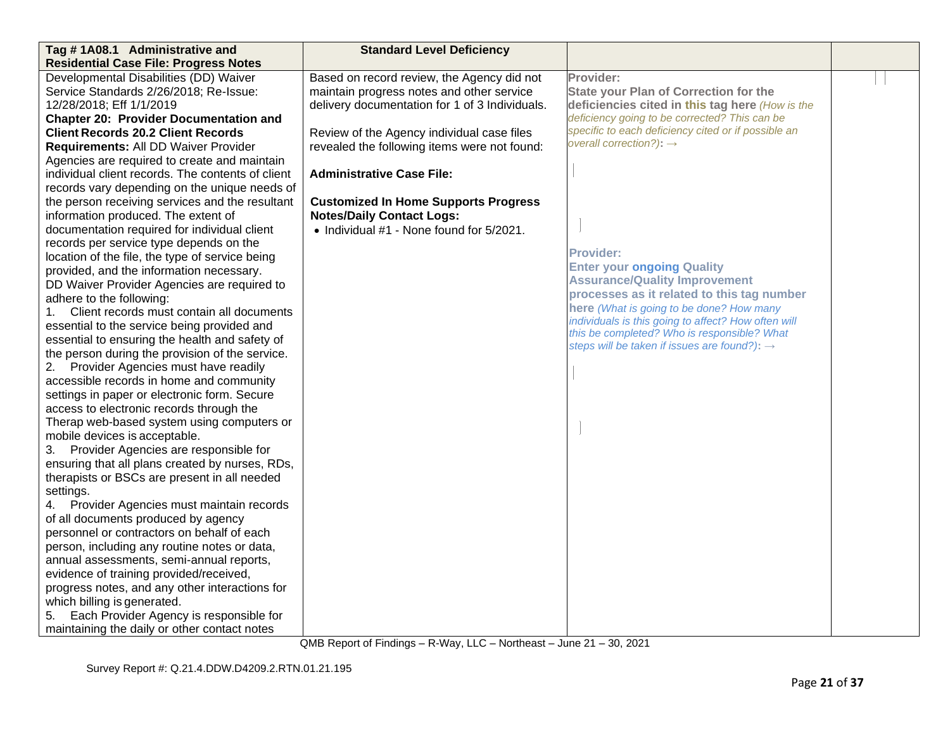| Tag #1A08.1 Administrative and                    | <b>Standard Level Deficiency</b>               |                                                                                                    |  |
|---------------------------------------------------|------------------------------------------------|----------------------------------------------------------------------------------------------------|--|
| <b>Residential Case File: Progress Notes</b>      |                                                |                                                                                                    |  |
| Developmental Disabilities (DD) Waiver            | Based on record review, the Agency did not     | Provider:                                                                                          |  |
| Service Standards 2/26/2018; Re-Issue:            | maintain progress notes and other service      | <b>State your Plan of Correction for the</b>                                                       |  |
| 12/28/2018; Eff 1/1/2019                          | delivery documentation for 1 of 3 Individuals. | deficiencies cited in this tag here (How is the                                                    |  |
| <b>Chapter 20: Provider Documentation and</b>     |                                                | deficiency going to be corrected? This can be                                                      |  |
| <b>Client Records 20.2 Client Records</b>         | Review of the Agency individual case files     | specific to each deficiency cited or if possible an                                                |  |
| Requirements: All DD Waiver Provider              | revealed the following items were not found:   | overall correction?): $\rightarrow$                                                                |  |
| Agencies are required to create and maintain      |                                                |                                                                                                    |  |
| individual client records. The contents of client | <b>Administrative Case File:</b>               |                                                                                                    |  |
| records vary depending on the unique needs of     |                                                |                                                                                                    |  |
| the person receiving services and the resultant   | <b>Customized In Home Supports Progress</b>    |                                                                                                    |  |
| information produced. The extent of               | <b>Notes/Daily Contact Logs:</b>               |                                                                                                    |  |
| documentation required for individual client      | • Individual #1 - None found for 5/2021.       |                                                                                                    |  |
| records per service type depends on the           |                                                |                                                                                                    |  |
| location of the file, the type of service being   |                                                | <b>Provider:</b>                                                                                   |  |
| provided, and the information necessary.          |                                                | <b>Enter your ongoing Quality</b>                                                                  |  |
| DD Waiver Provider Agencies are required to       |                                                | <b>Assurance/Quality Improvement</b>                                                               |  |
| adhere to the following:                          |                                                | processes as it related to this tag number                                                         |  |
| Client records must contain all documents<br>1.   |                                                | here (What is going to be done? How many                                                           |  |
| essential to the service being provided and       |                                                | individuals is this going to affect? How often will<br>this be completed? Who is responsible? What |  |
| essential to ensuring the health and safety of    |                                                | steps will be taken if issues are found?): $\rightarrow$                                           |  |
| the person during the provision of the service.   |                                                |                                                                                                    |  |
| 2. Provider Agencies must have readily            |                                                |                                                                                                    |  |
| accessible records in home and community          |                                                |                                                                                                    |  |
| settings in paper or electronic form. Secure      |                                                |                                                                                                    |  |
| access to electronic records through the          |                                                |                                                                                                    |  |
| Therap web-based system using computers or        |                                                |                                                                                                    |  |
| mobile devices is acceptable.                     |                                                |                                                                                                    |  |
| 3. Provider Agencies are responsible for          |                                                |                                                                                                    |  |
| ensuring that all plans created by nurses, RDs,   |                                                |                                                                                                    |  |
| therapists or BSCs are present in all needed      |                                                |                                                                                                    |  |
| settings.                                         |                                                |                                                                                                    |  |
| 4. Provider Agencies must maintain records        |                                                |                                                                                                    |  |
| of all documents produced by agency               |                                                |                                                                                                    |  |
| personnel or contractors on behalf of each        |                                                |                                                                                                    |  |
| person, including any routine notes or data,      |                                                |                                                                                                    |  |
| annual assessments, semi-annual reports,          |                                                |                                                                                                    |  |
| evidence of training provided/received,           |                                                |                                                                                                    |  |
| progress notes, and any other interactions for    |                                                |                                                                                                    |  |
| which billing is generated.                       |                                                |                                                                                                    |  |
| Each Provider Agency is responsible for<br>5.     |                                                |                                                                                                    |  |
| maintaining the daily or other contact notes      |                                                |                                                                                                    |  |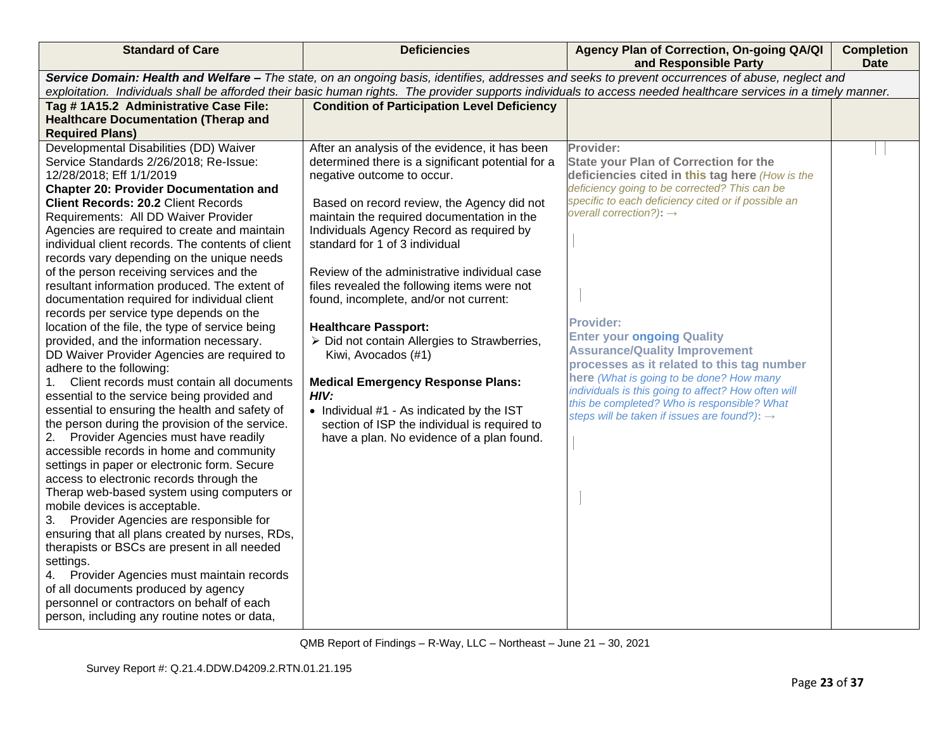| <b>Standard of Care</b>                                                                                                                           | <b>Deficiencies</b>                                                 | Agency Plan of Correction, On-going QA/QI<br>and Responsible Party                                                                                               | <b>Completion</b><br><b>Date</b> |  |
|---------------------------------------------------------------------------------------------------------------------------------------------------|---------------------------------------------------------------------|------------------------------------------------------------------------------------------------------------------------------------------------------------------|----------------------------------|--|
| Service Domain: Health and Welfare - The state, on an ongoing basis, identifies, addresses and seeks to prevent occurrences of abuse, neglect and |                                                                     |                                                                                                                                                                  |                                  |  |
|                                                                                                                                                   |                                                                     | exploitation. Individuals shall be afforded their basic human rights. The provider supports individuals to access needed healthcare services in a timely manner. |                                  |  |
| Tag # 1A15.2 Administrative Case File:                                                                                                            | <b>Condition of Participation Level Deficiency</b>                  |                                                                                                                                                                  |                                  |  |
| <b>Healthcare Documentation (Therap and</b>                                                                                                       |                                                                     |                                                                                                                                                                  |                                  |  |
| <b>Required Plans)</b>                                                                                                                            |                                                                     |                                                                                                                                                                  |                                  |  |
| Developmental Disabilities (DD) Waiver                                                                                                            | After an analysis of the evidence, it has been                      | Provider:                                                                                                                                                        |                                  |  |
| Service Standards 2/26/2018; Re-Issue:                                                                                                            | determined there is a significant potential for a                   | <b>State your Plan of Correction for the</b>                                                                                                                     |                                  |  |
| 12/28/2018; Eff 1/1/2019                                                                                                                          | negative outcome to occur.                                          | deficiencies cited in this tag here (How is the                                                                                                                  |                                  |  |
| <b>Chapter 20: Provider Documentation and</b>                                                                                                     |                                                                     | deficiency going to be corrected? This can be                                                                                                                    |                                  |  |
| <b>Client Records: 20.2 Client Records</b>                                                                                                        | Based on record review, the Agency did not                          | specific to each deficiency cited or if possible an                                                                                                              |                                  |  |
| Requirements: All DD Waiver Provider                                                                                                              | maintain the required documentation in the                          | overall correction?): $\rightarrow$                                                                                                                              |                                  |  |
| Agencies are required to create and maintain                                                                                                      | Individuals Agency Record as required by                            |                                                                                                                                                                  |                                  |  |
| individual client records. The contents of client                                                                                                 | standard for 1 of 3 individual                                      |                                                                                                                                                                  |                                  |  |
| records vary depending on the unique needs                                                                                                        |                                                                     |                                                                                                                                                                  |                                  |  |
| of the person receiving services and the                                                                                                          | Review of the administrative individual case                        |                                                                                                                                                                  |                                  |  |
| resultant information produced. The extent of                                                                                                     | files revealed the following items were not                         |                                                                                                                                                                  |                                  |  |
| documentation required for individual client                                                                                                      | found, incomplete, and/or not current:                              |                                                                                                                                                                  |                                  |  |
| records per service type depends on the                                                                                                           |                                                                     | <b>Provider:</b>                                                                                                                                                 |                                  |  |
| location of the file, the type of service being<br>provided, and the information necessary.                                                       | <b>Healthcare Passport:</b>                                         | <b>Enter your ongoing Quality</b>                                                                                                                                |                                  |  |
| DD Waiver Provider Agencies are required to                                                                                                       | > Did not contain Allergies to Strawberries,<br>Kiwi, Avocados (#1) | <b>Assurance/Quality Improvement</b>                                                                                                                             |                                  |  |
| adhere to the following:                                                                                                                          |                                                                     | processes as it related to this tag number                                                                                                                       |                                  |  |
| Client records must contain all documents<br>1.                                                                                                   | <b>Medical Emergency Response Plans:</b>                            | here (What is going to be done? How many                                                                                                                         |                                  |  |
| essential to the service being provided and                                                                                                       | HIV:                                                                | individuals is this going to affect? How often will                                                                                                              |                                  |  |
| essential to ensuring the health and safety of                                                                                                    | • Individual #1 - As indicated by the IST                           | this be completed? Who is responsible? What                                                                                                                      |                                  |  |
| the person during the provision of the service.                                                                                                   | section of ISP the individual is required to                        | steps will be taken if issues are found?): $\rightarrow$                                                                                                         |                                  |  |
| Provider Agencies must have readily                                                                                                               | have a plan. No evidence of a plan found.                           |                                                                                                                                                                  |                                  |  |
| accessible records in home and community                                                                                                          |                                                                     |                                                                                                                                                                  |                                  |  |
| settings in paper or electronic form. Secure                                                                                                      |                                                                     |                                                                                                                                                                  |                                  |  |
| access to electronic records through the                                                                                                          |                                                                     |                                                                                                                                                                  |                                  |  |
| Therap web-based system using computers or                                                                                                        |                                                                     |                                                                                                                                                                  |                                  |  |
| mobile devices is acceptable.                                                                                                                     |                                                                     |                                                                                                                                                                  |                                  |  |
| 3. Provider Agencies are responsible for                                                                                                          |                                                                     |                                                                                                                                                                  |                                  |  |
| ensuring that all plans created by nurses, RDs,                                                                                                   |                                                                     |                                                                                                                                                                  |                                  |  |
| therapists or BSCs are present in all needed                                                                                                      |                                                                     |                                                                                                                                                                  |                                  |  |
| settings.                                                                                                                                         |                                                                     |                                                                                                                                                                  |                                  |  |
| Provider Agencies must maintain records<br>4.                                                                                                     |                                                                     |                                                                                                                                                                  |                                  |  |
| of all documents produced by agency                                                                                                               |                                                                     |                                                                                                                                                                  |                                  |  |
| personnel or contractors on behalf of each                                                                                                        |                                                                     |                                                                                                                                                                  |                                  |  |
| person, including any routine notes or data,                                                                                                      |                                                                     |                                                                                                                                                                  |                                  |  |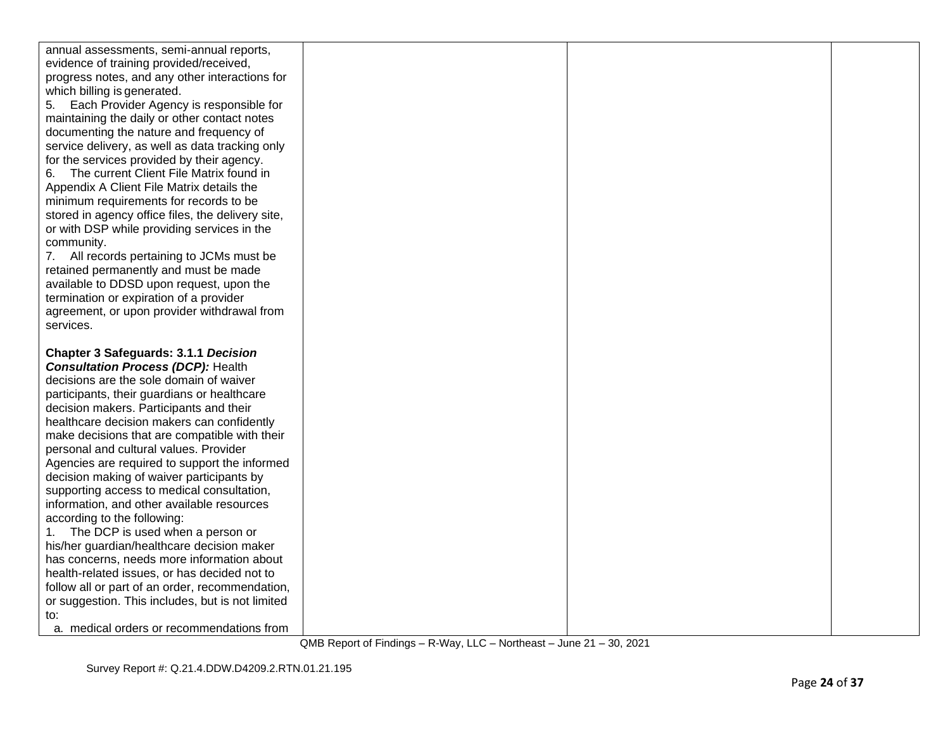| annual assessments, semi-annual reports,          |  |  |
|---------------------------------------------------|--|--|
| evidence of training provided/received,           |  |  |
| progress notes, and any other interactions for    |  |  |
| which billing is generated.                       |  |  |
| 5. Each Provider Agency is responsible for        |  |  |
| maintaining the daily or other contact notes      |  |  |
| documenting the nature and frequency of           |  |  |
| service delivery, as well as data tracking only   |  |  |
| for the services provided by their agency.        |  |  |
| The current Client File Matrix found in<br>6.     |  |  |
| Appendix A Client File Matrix details the         |  |  |
| minimum requirements for records to be            |  |  |
| stored in agency office files, the delivery site, |  |  |
| or with DSP while providing services in the       |  |  |
| community.                                        |  |  |
| 7. All records pertaining to JCMs must be         |  |  |
| retained permanently and must be made             |  |  |
| available to DDSD upon request, upon the          |  |  |
| termination or expiration of a provider           |  |  |
| agreement, or upon provider withdrawal from       |  |  |
| services.                                         |  |  |
|                                                   |  |  |
|                                                   |  |  |
| <b>Chapter 3 Safeguards: 3.1.1 Decision</b>       |  |  |
| <b>Consultation Process (DCP): Health</b>         |  |  |
| decisions are the sole domain of waiver           |  |  |
| participants, their guardians or healthcare       |  |  |
| decision makers. Participants and their           |  |  |
| healthcare decision makers can confidently        |  |  |
| make decisions that are compatible with their     |  |  |
| personal and cultural values. Provider            |  |  |
| Agencies are required to support the informed     |  |  |
| decision making of waiver participants by         |  |  |
| supporting access to medical consultation,        |  |  |
| information, and other available resources        |  |  |
| according to the following:                       |  |  |
| The DCP is used when a person or<br>1.            |  |  |
| his/her guardian/healthcare decision maker        |  |  |
| has concerns, needs more information about        |  |  |
| health-related issues, or has decided not to      |  |  |
| follow all or part of an order, recommendation,   |  |  |
| or suggestion. This includes, but is not limited  |  |  |
| to:<br>a. medical orders or recommendations from  |  |  |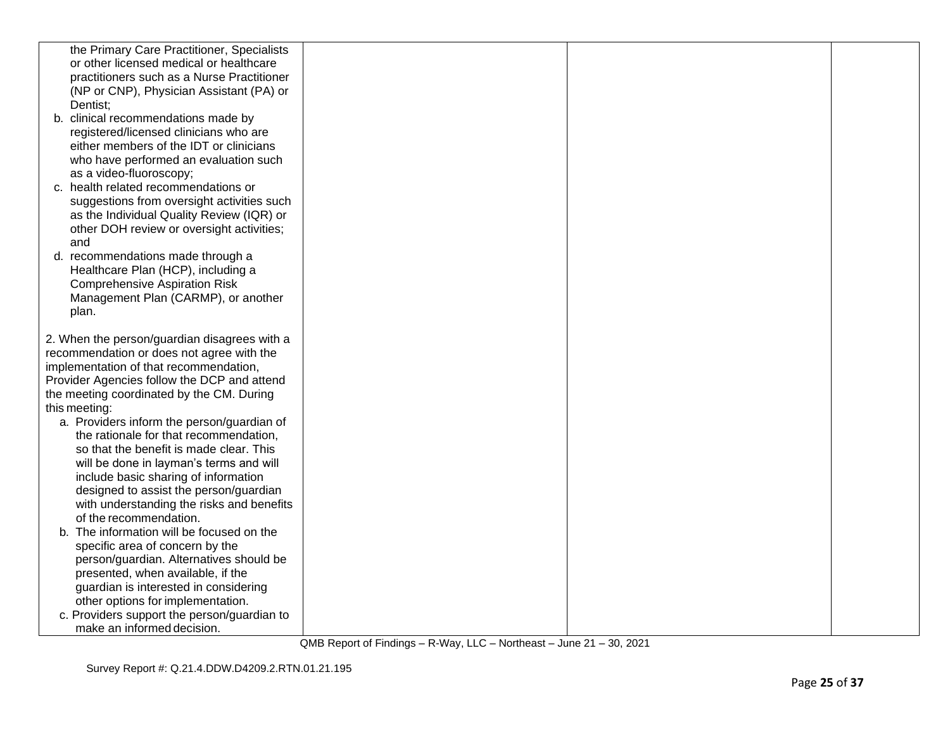| the Primary Care Practitioner, Specialists   |  |  |
|----------------------------------------------|--|--|
| or other licensed medical or healthcare      |  |  |
| practitioners such as a Nurse Practitioner   |  |  |
| (NP or CNP), Physician Assistant (PA) or     |  |  |
| Dentist:                                     |  |  |
| b. clinical recommendations made by          |  |  |
| registered/licensed clinicians who are       |  |  |
| either members of the IDT or clinicians      |  |  |
| who have performed an evaluation such        |  |  |
| as a video-fluoroscopy;                      |  |  |
| c. health related recommendations or         |  |  |
| suggestions from oversight activities such   |  |  |
| as the Individual Quality Review (IQR) or    |  |  |
| other DOH review or oversight activities;    |  |  |
| and                                          |  |  |
| d. recommendations made through a            |  |  |
| Healthcare Plan (HCP), including a           |  |  |
| <b>Comprehensive Aspiration Risk</b>         |  |  |
| Management Plan (CARMP), or another          |  |  |
| plan.                                        |  |  |
|                                              |  |  |
| 2. When the person/guardian disagrees with a |  |  |
| recommendation or does not agree with the    |  |  |
| implementation of that recommendation,       |  |  |
| Provider Agencies follow the DCP and attend  |  |  |
| the meeting coordinated by the CM. During    |  |  |
| this meeting:                                |  |  |
| a. Providers inform the person/guardian of   |  |  |
| the rationale for that recommendation,       |  |  |
| so that the benefit is made clear. This      |  |  |
| will be done in layman's terms and will      |  |  |
| include basic sharing of information         |  |  |
| designed to assist the person/guardian       |  |  |
| with understanding the risks and benefits    |  |  |
| of the recommendation.                       |  |  |
| b. The information will be focused on the    |  |  |
| specific area of concern by the              |  |  |
| person/guardian. Alternatives should be      |  |  |
| presented, when available, if the            |  |  |
| guardian is interested in considering        |  |  |
| other options for implementation.            |  |  |
| c. Providers support the person/guardian to  |  |  |
| make an informed decision.                   |  |  |
|                                              |  |  |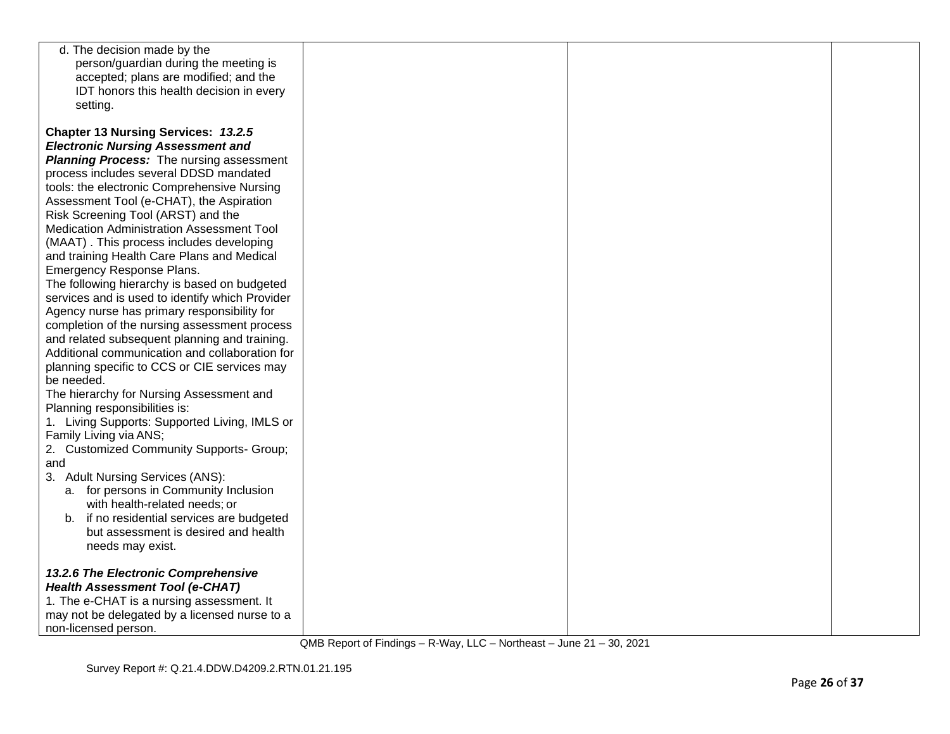| d. The decision made by the                     |  |  |
|-------------------------------------------------|--|--|
| person/guardian during the meeting is           |  |  |
| accepted; plans are modified; and the           |  |  |
| IDT honors this health decision in every        |  |  |
| setting.                                        |  |  |
|                                                 |  |  |
| Chapter 13 Nursing Services: 13.2.5             |  |  |
| <b>Electronic Nursing Assessment and</b>        |  |  |
| <b>Planning Process:</b> The nursing assessment |  |  |
| process includes several DDSD mandated          |  |  |
|                                                 |  |  |
| tools: the electronic Comprehensive Nursing     |  |  |
| Assessment Tool (e-CHAT), the Aspiration        |  |  |
| Risk Screening Tool (ARST) and the              |  |  |
| Medication Administration Assessment Tool       |  |  |
| (MAAT). This process includes developing        |  |  |
| and training Health Care Plans and Medical      |  |  |
| Emergency Response Plans.                       |  |  |
| The following hierarchy is based on budgeted    |  |  |
| services and is used to identify which Provider |  |  |
| Agency nurse has primary responsibility for     |  |  |
| completion of the nursing assessment process    |  |  |
| and related subsequent planning and training.   |  |  |
| Additional communication and collaboration for  |  |  |
| planning specific to CCS or CIE services may    |  |  |
| be needed.                                      |  |  |
| The hierarchy for Nursing Assessment and        |  |  |
| Planning responsibilities is:                   |  |  |
| 1. Living Supports: Supported Living, IMLS or   |  |  |
| Family Living via ANS;                          |  |  |
| 2. Customized Community Supports- Group;        |  |  |
| and                                             |  |  |
| 3. Adult Nursing Services (ANS):                |  |  |
| a. for persons in Community Inclusion           |  |  |
| with health-related needs; or                   |  |  |
| b. if no residential services are budgeted      |  |  |
| but assessment is desired and health            |  |  |
| needs may exist.                                |  |  |
|                                                 |  |  |
| 13.2.6 The Electronic Comprehensive             |  |  |
| <b>Health Assessment Tool (e-CHAT)</b>          |  |  |
| 1. The e-CHAT is a nursing assessment. It       |  |  |
| may not be delegated by a licensed nurse to a   |  |  |
| non-licensed person.                            |  |  |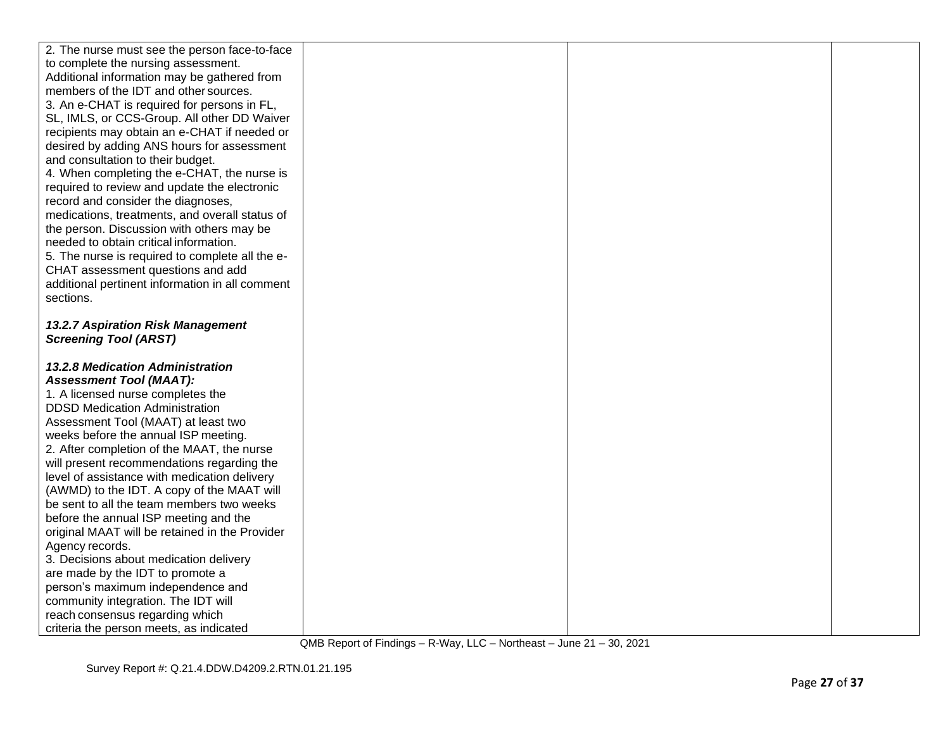| 2. The nurse must see the person face-to-face                              |  |  |
|----------------------------------------------------------------------------|--|--|
| to complete the nursing assessment.                                        |  |  |
| Additional information may be gathered from                                |  |  |
| members of the IDT and other sources.                                      |  |  |
| 3. An e-CHAT is required for persons in FL,                                |  |  |
| SL, IMLS, or CCS-Group. All other DD Waiver                                |  |  |
| recipients may obtain an e-CHAT if needed or                               |  |  |
| desired by adding ANS hours for assessment                                 |  |  |
| and consultation to their budget.                                          |  |  |
| 4. When completing the e-CHAT, the nurse is                                |  |  |
| required to review and update the electronic                               |  |  |
| record and consider the diagnoses,                                         |  |  |
| medications, treatments, and overall status of                             |  |  |
| the person. Discussion with others may be                                  |  |  |
| needed to obtain critical information.                                     |  |  |
| 5. The nurse is required to complete all the e-                            |  |  |
| CHAT assessment questions and add                                          |  |  |
| additional pertinent information in all comment                            |  |  |
| sections.                                                                  |  |  |
|                                                                            |  |  |
| 13.2.7 Aspiration Risk Management                                          |  |  |
| <b>Screening Tool (ARST)</b>                                               |  |  |
|                                                                            |  |  |
| <b>13.2.8 Medication Administration</b>                                    |  |  |
| <b>Assessment Tool (MAAT):</b>                                             |  |  |
| 1. A licensed nurse completes the                                          |  |  |
| <b>DDSD Medication Administration</b>                                      |  |  |
| Assessment Tool (MAAT) at least two                                        |  |  |
| weeks before the annual ISP meeting.                                       |  |  |
| 2. After completion of the MAAT, the nurse                                 |  |  |
| will present recommendations regarding the                                 |  |  |
| level of assistance with medication delivery                               |  |  |
| (AWMD) to the IDT. A copy of the MAAT will                                 |  |  |
| be sent to all the team members two weeks                                  |  |  |
| before the annual ISP meeting and the                                      |  |  |
| original MAAT will be retained in the Provider                             |  |  |
| Agency records.                                                            |  |  |
| 3. Decisions about medication delivery                                     |  |  |
| are made by the IDT to promote a                                           |  |  |
| person's maximum independence and                                          |  |  |
|                                                                            |  |  |
| community integration. The IDT will                                        |  |  |
| reach consensus regarding which<br>criteria the person meets, as indicated |  |  |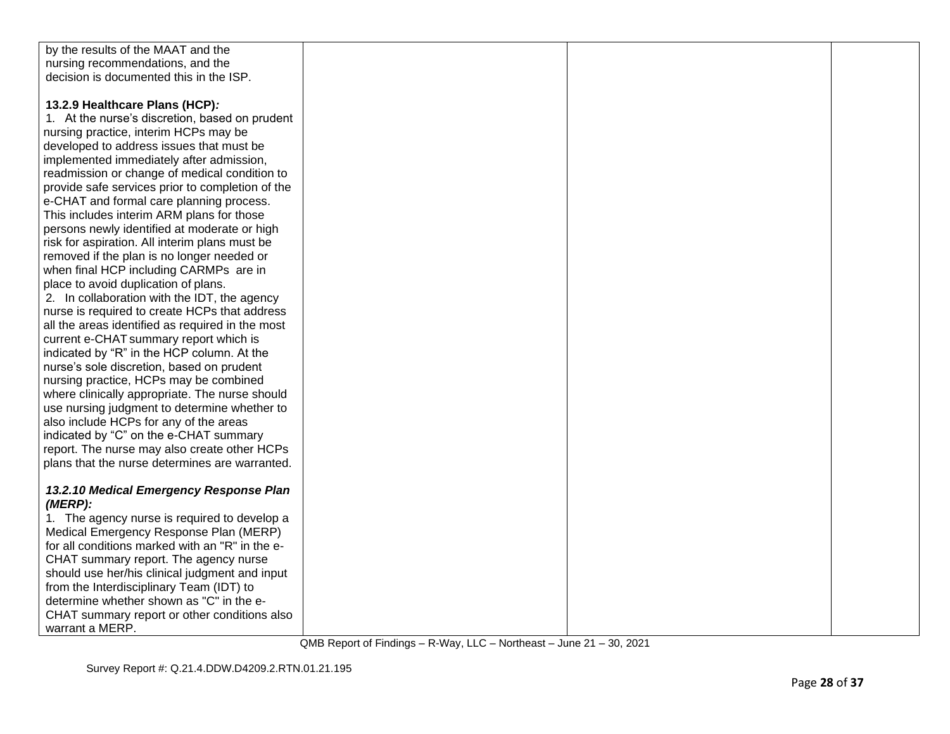| by the results of the MAAT and the               |  |  |
|--------------------------------------------------|--|--|
| nursing recommendations, and the                 |  |  |
| decision is documented this in the ISP.          |  |  |
|                                                  |  |  |
| 13.2.9 Healthcare Plans (HCP):                   |  |  |
| 1. At the nurse's discretion, based on prudent   |  |  |
| nursing practice, interim HCPs may be            |  |  |
| developed to address issues that must be         |  |  |
| implemented immediately after admission,         |  |  |
| readmission or change of medical condition to    |  |  |
| provide safe services prior to completion of the |  |  |
| e-CHAT and formal care planning process.         |  |  |
| This includes interim ARM plans for those        |  |  |
| persons newly identified at moderate or high     |  |  |
| risk for aspiration. All interim plans must be   |  |  |
| removed if the plan is no longer needed or       |  |  |
| when final HCP including CARMPs are in           |  |  |
| place to avoid duplication of plans.             |  |  |
| 2. In collaboration with the IDT, the agency     |  |  |
| nurse is required to create HCPs that address    |  |  |
| all the areas identified as required in the most |  |  |
| current e-CHAT summary report which is           |  |  |
| indicated by "R" in the HCP column. At the       |  |  |
| nurse's sole discretion, based on prudent        |  |  |
| nursing practice, HCPs may be combined           |  |  |
| where clinically appropriate. The nurse should   |  |  |
| use nursing judgment to determine whether to     |  |  |
| also include HCPs for any of the areas           |  |  |
| indicated by "C" on the e-CHAT summary           |  |  |
| report. The nurse may also create other HCPs     |  |  |
| plans that the nurse determines are warranted.   |  |  |
|                                                  |  |  |
| 13.2.10 Medical Emergency Response Plan          |  |  |
| $(MERP)$ :                                       |  |  |
| 1. The agency nurse is required to develop a     |  |  |
| Medical Emergency Response Plan (MERP)           |  |  |
| for all conditions marked with an "R" in the e-  |  |  |
| CHAT summary report. The agency nurse            |  |  |
| should use her/his clinical judgment and input   |  |  |
| from the Interdisciplinary Team (IDT) to         |  |  |
| determine whether shown as "C" in the e-         |  |  |
| CHAT summary report or other conditions also     |  |  |
| warrant a MERP.                                  |  |  |
|                                                  |  |  |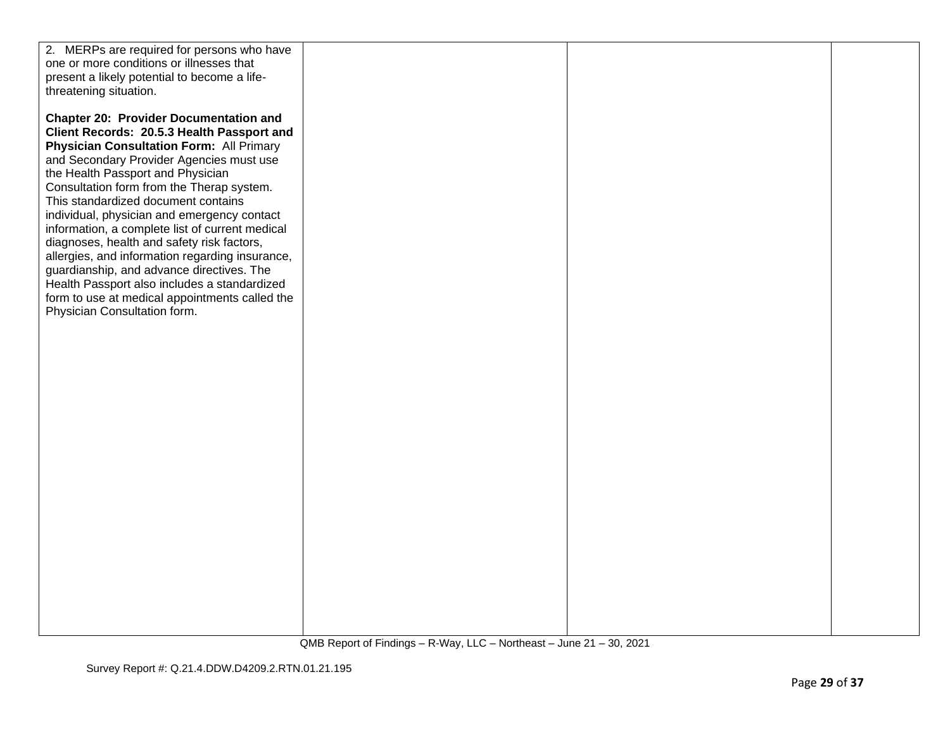| 2. MERPs are required for persons who have      |  |  |
|-------------------------------------------------|--|--|
| one or more conditions or illnesses that        |  |  |
| present a likely potential to become a life-    |  |  |
| threatening situation.                          |  |  |
|                                                 |  |  |
| <b>Chapter 20: Provider Documentation and</b>   |  |  |
| Client Records: 20.5.3 Health Passport and      |  |  |
| <b>Physician Consultation Form: All Primary</b> |  |  |
| and Secondary Provider Agencies must use        |  |  |
| the Health Passport and Physician               |  |  |
| Consultation form from the Therap system.       |  |  |
| This standardized document contains             |  |  |
| individual, physician and emergency contact     |  |  |
| information, a complete list of current medical |  |  |
| diagnoses, health and safety risk factors,      |  |  |
| allergies, and information regarding insurance, |  |  |
| guardianship, and advance directives. The       |  |  |
| Health Passport also includes a standardized    |  |  |
| form to use at medical appointments called the  |  |  |
| Physician Consultation form.                    |  |  |
|                                                 |  |  |
|                                                 |  |  |
|                                                 |  |  |
|                                                 |  |  |
|                                                 |  |  |
|                                                 |  |  |
|                                                 |  |  |
|                                                 |  |  |
|                                                 |  |  |
|                                                 |  |  |
|                                                 |  |  |
|                                                 |  |  |
|                                                 |  |  |
|                                                 |  |  |
|                                                 |  |  |
|                                                 |  |  |
|                                                 |  |  |
|                                                 |  |  |
|                                                 |  |  |
|                                                 |  |  |
|                                                 |  |  |
|                                                 |  |  |
|                                                 |  |  |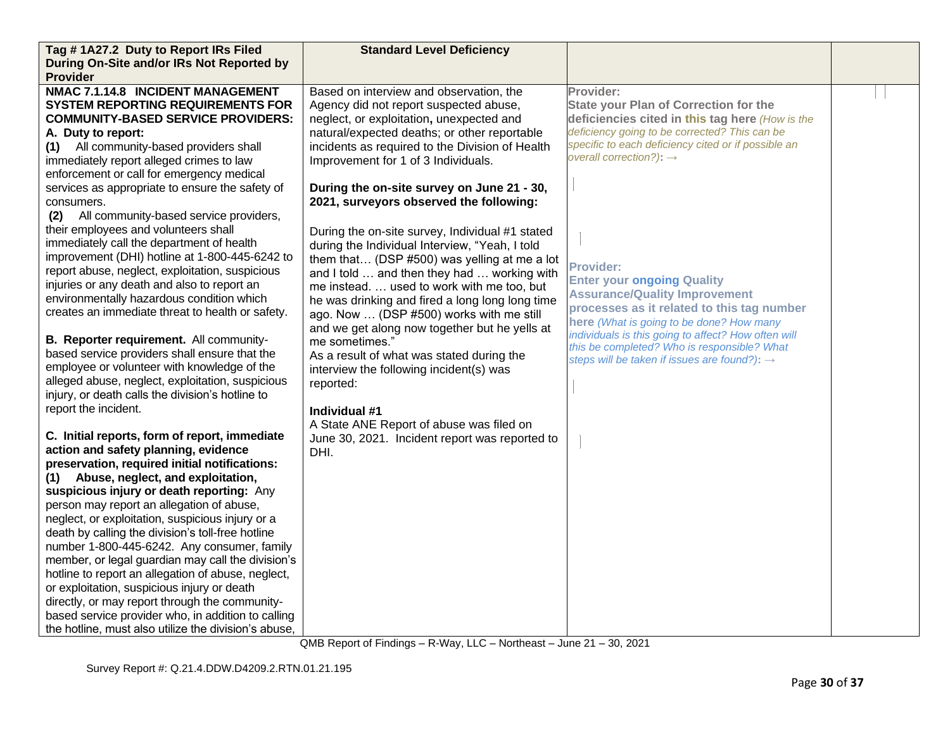| Tag #1A27.2 Duty to Report IRs Filed                 | <b>Standard Level Deficiency</b>                |                                                                                             |  |
|------------------------------------------------------|-------------------------------------------------|---------------------------------------------------------------------------------------------|--|
| During On-Site and/or IRs Not Reported by            |                                                 |                                                                                             |  |
| <b>Provider</b>                                      |                                                 |                                                                                             |  |
| NMAC 7.1.14.8 INCIDENT MANAGEMENT                    | Based on interview and observation, the         | Provider:                                                                                   |  |
| <b>SYSTEM REPORTING REQUIREMENTS FOR</b>             | Agency did not report suspected abuse,          | <b>State your Plan of Correction for the</b>                                                |  |
| <b>COMMUNITY-BASED SERVICE PROVIDERS:</b>            | neglect, or exploitation, unexpected and        | deficiencies cited in this tag here (How is the                                             |  |
| A. Duty to report:                                   | natural/expected deaths; or other reportable    | deficiency going to be corrected? This can be                                               |  |
| (1) All community-based providers shall              | incidents as required to the Division of Health | specific to each deficiency cited or if possible an                                         |  |
| immediately report alleged crimes to law             | Improvement for 1 of 3 Individuals.             | overall correction?): $\rightarrow$                                                         |  |
| enforcement or call for emergency medical            |                                                 |                                                                                             |  |
| services as appropriate to ensure the safety of      | During the on-site survey on June 21 - 30,      |                                                                                             |  |
| consumers.                                           | 2021, surveyors observed the following:         |                                                                                             |  |
| All community-based service providers,<br>(2)        |                                                 |                                                                                             |  |
| their employees and volunteers shall                 | During the on-site survey, Individual #1 stated |                                                                                             |  |
| immediately call the department of health            | during the Individual Interview, "Yeah, I told  |                                                                                             |  |
| improvement (DHI) hotline at 1-800-445-6242 to       | them that (DSP #500) was yelling at me a lot    |                                                                                             |  |
| report abuse, neglect, exploitation, suspicious      | and I told  and then they had  working with     | <b>Provider:</b>                                                                            |  |
| injuries or any death and also to report an          | me instead.  used to work with me too, but      | <b>Enter your ongoing Quality</b>                                                           |  |
| environmentally hazardous condition which            | he was drinking and fired a long long long time | <b>Assurance/Quality Improvement</b>                                                        |  |
| creates an immediate threat to health or safety.     | ago. Now  (DSP #500) works with me still        | processes as it related to this tag number                                                  |  |
|                                                      | and we get along now together but he yells at   | here (What is going to be done? How many                                                    |  |
| B. Reporter requirement. All community-              | me sometimes."                                  | individuals is this going to affect? How often will                                         |  |
| based service providers shall ensure that the        | As a result of what was stated during the       | this be completed? Who is responsible? What<br>steps will be taken if issues are found?): → |  |
| employee or volunteer with knowledge of the          | interview the following incident(s) was         |                                                                                             |  |
| alleged abuse, neglect, exploitation, suspicious     | reported:                                       |                                                                                             |  |
| injury, or death calls the division's hotline to     |                                                 |                                                                                             |  |
| report the incident.                                 | Individual #1                                   |                                                                                             |  |
|                                                      | A State ANE Report of abuse was filed on        |                                                                                             |  |
| C. Initial reports, form of report, immediate        | June 30, 2021. Incident report was reported to  |                                                                                             |  |
| action and safety planning, evidence                 | DHI.                                            |                                                                                             |  |
| preservation, required initial notifications:        |                                                 |                                                                                             |  |
| (1) Abuse, neglect, and exploitation,                |                                                 |                                                                                             |  |
| suspicious injury or death reporting: Any            |                                                 |                                                                                             |  |
| person may report an allegation of abuse,            |                                                 |                                                                                             |  |
| neglect, or exploitation, suspicious injury or a     |                                                 |                                                                                             |  |
| death by calling the division's toll-free hotline    |                                                 |                                                                                             |  |
| number 1-800-445-6242. Any consumer, family          |                                                 |                                                                                             |  |
| member, or legal guardian may call the division's    |                                                 |                                                                                             |  |
| hotline to report an allegation of abuse, neglect,   |                                                 |                                                                                             |  |
| or exploitation, suspicious injury or death          |                                                 |                                                                                             |  |
| directly, or may report through the community-       |                                                 |                                                                                             |  |
| based service provider who, in addition to calling   |                                                 |                                                                                             |  |
| the hotline, must also utilize the division's abuse, |                                                 |                                                                                             |  |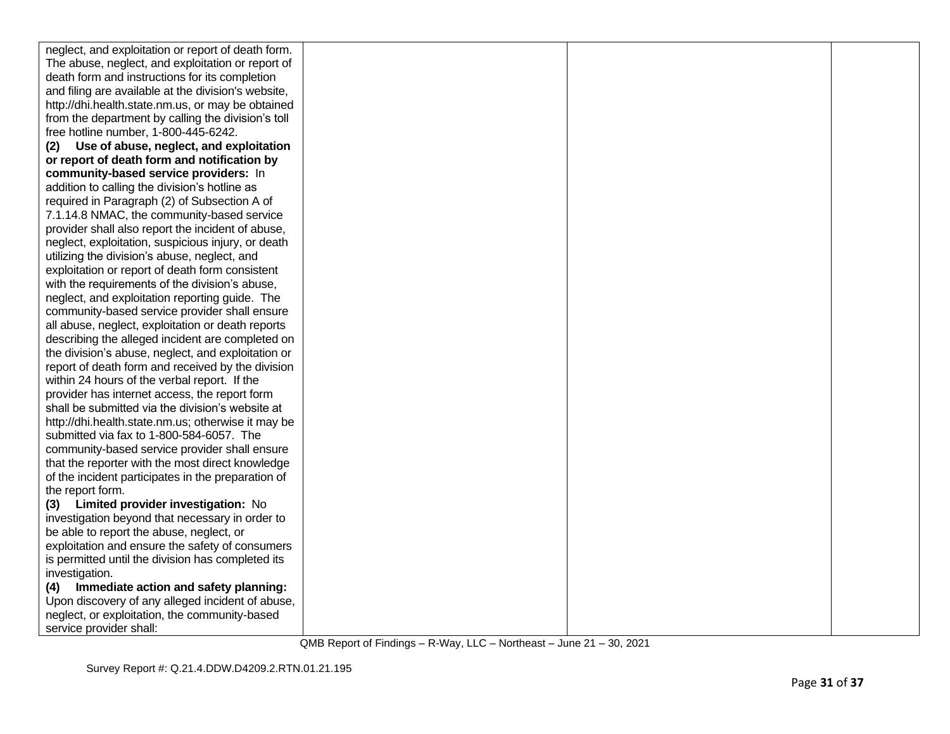| neglect, and exploitation or report of death form.  |  |  |
|-----------------------------------------------------|--|--|
| The abuse, neglect, and exploitation or report of   |  |  |
| death form and instructions for its completion      |  |  |
| and filing are available at the division's website, |  |  |
| http://dhi.health.state.nm.us, or may be obtained   |  |  |
| from the department by calling the division's toll  |  |  |
| free hotline number, 1-800-445-6242.                |  |  |
| Use of abuse, neglect, and exploitation<br>(2)      |  |  |
| or report of death form and notification by         |  |  |
| community-based service providers: In               |  |  |
| addition to calling the division's hotline as       |  |  |
| required in Paragraph (2) of Subsection A of        |  |  |
| 7.1.14.8 NMAC, the community-based service          |  |  |
| provider shall also report the incident of abuse,   |  |  |
| neglect, exploitation, suspicious injury, or death  |  |  |
| utilizing the division's abuse, neglect, and        |  |  |
| exploitation or report of death form consistent     |  |  |
| with the requirements of the division's abuse,      |  |  |
| neglect, and exploitation reporting guide. The      |  |  |
| community-based service provider shall ensure       |  |  |
| all abuse, neglect, exploitation or death reports   |  |  |
| describing the alleged incident are completed on    |  |  |
| the division's abuse, neglect, and exploitation or  |  |  |
| report of death form and received by the division   |  |  |
| within 24 hours of the verbal report. If the        |  |  |
| provider has internet access, the report form       |  |  |
| shall be submitted via the division's website at    |  |  |
| http://dhi.health.state.nm.us; otherwise it may be  |  |  |
| submitted via fax to 1-800-584-6057. The            |  |  |
| community-based service provider shall ensure       |  |  |
| that the reporter with the most direct knowledge    |  |  |
| of the incident participates in the preparation of  |  |  |
| the report form.                                    |  |  |
| (3) Limited provider investigation: No              |  |  |
| investigation beyond that necessary in order to     |  |  |
| be able to report the abuse, neglect, or            |  |  |
| exploitation and ensure the safety of consumers     |  |  |
| is permitted until the division has completed its   |  |  |
| investigation.                                      |  |  |
| Immediate action and safety planning:<br>(4)        |  |  |
| Upon discovery of any alleged incident of abuse,    |  |  |
| neglect, or exploitation, the community-based       |  |  |
| service provider shall:                             |  |  |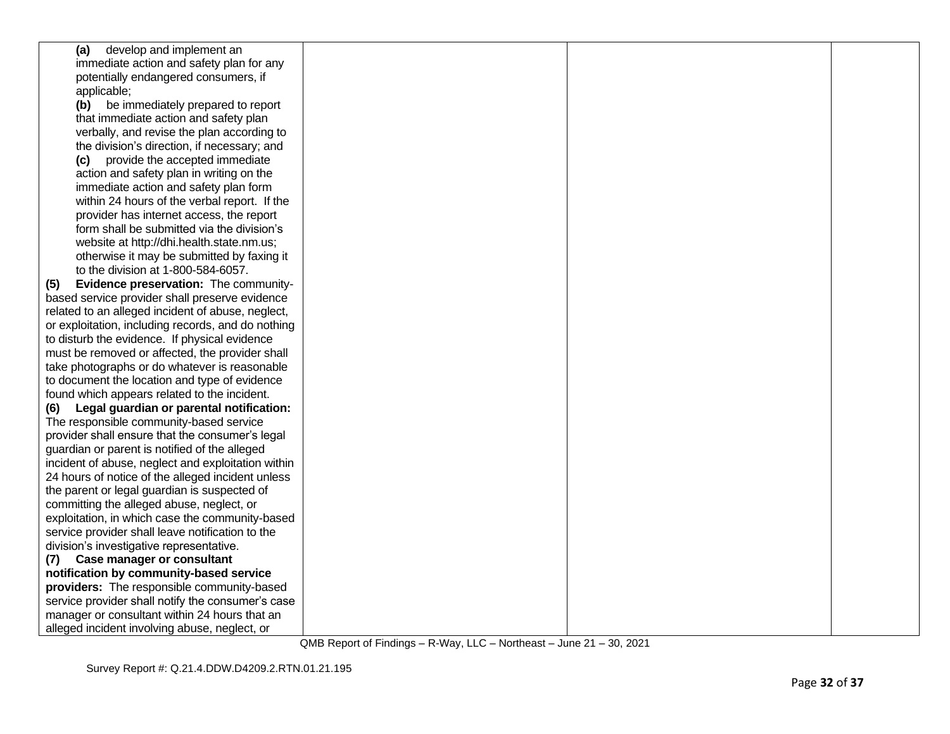| (a) develop and implement an                       |  |  |
|----------------------------------------------------|--|--|
| immediate action and safety plan for any           |  |  |
| potentially endangered consumers, if               |  |  |
| applicable;                                        |  |  |
| (b) be immediately prepared to report              |  |  |
| that immediate action and safety plan              |  |  |
| verbally, and revise the plan according to         |  |  |
| the division's direction, if necessary; and        |  |  |
| (c) provide the accepted immediate                 |  |  |
| action and safety plan in writing on the           |  |  |
| immediate action and safety plan form              |  |  |
| within 24 hours of the verbal report. If the       |  |  |
| provider has internet access, the report           |  |  |
| form shall be submitted via the division's         |  |  |
| website at http://dhi.health.state.nm.us;          |  |  |
| otherwise it may be submitted by faxing it         |  |  |
| to the division at 1-800-584-6057.                 |  |  |
| Evidence preservation: The community-<br>(5)       |  |  |
| based service provider shall preserve evidence     |  |  |
| related to an alleged incident of abuse, neglect,  |  |  |
| or exploitation, including records, and do nothing |  |  |
| to disturb the evidence. If physical evidence      |  |  |
| must be removed or affected, the provider shall    |  |  |
| take photographs or do whatever is reasonable      |  |  |
| to document the location and type of evidence      |  |  |
| found which appears related to the incident.       |  |  |
| Legal guardian or parental notification:<br>(6)    |  |  |
| The responsible community-based service            |  |  |
| provider shall ensure that the consumer's legal    |  |  |
| guardian or parent is notified of the alleged      |  |  |
| incident of abuse, neglect and exploitation within |  |  |
| 24 hours of notice of the alleged incident unless  |  |  |
| the parent or legal guardian is suspected of       |  |  |
| committing the alleged abuse, neglect, or          |  |  |
| exploitation, in which case the community-based    |  |  |
| service provider shall leave notification to the   |  |  |
| division's investigative representative.           |  |  |
| (7) Case manager or consultant                     |  |  |
| notification by community-based service            |  |  |
| providers: The responsible community-based         |  |  |
| service provider shall notify the consumer's case  |  |  |
| manager or consultant within 24 hours that an      |  |  |
| alleged incident involving abuse, neglect, or      |  |  |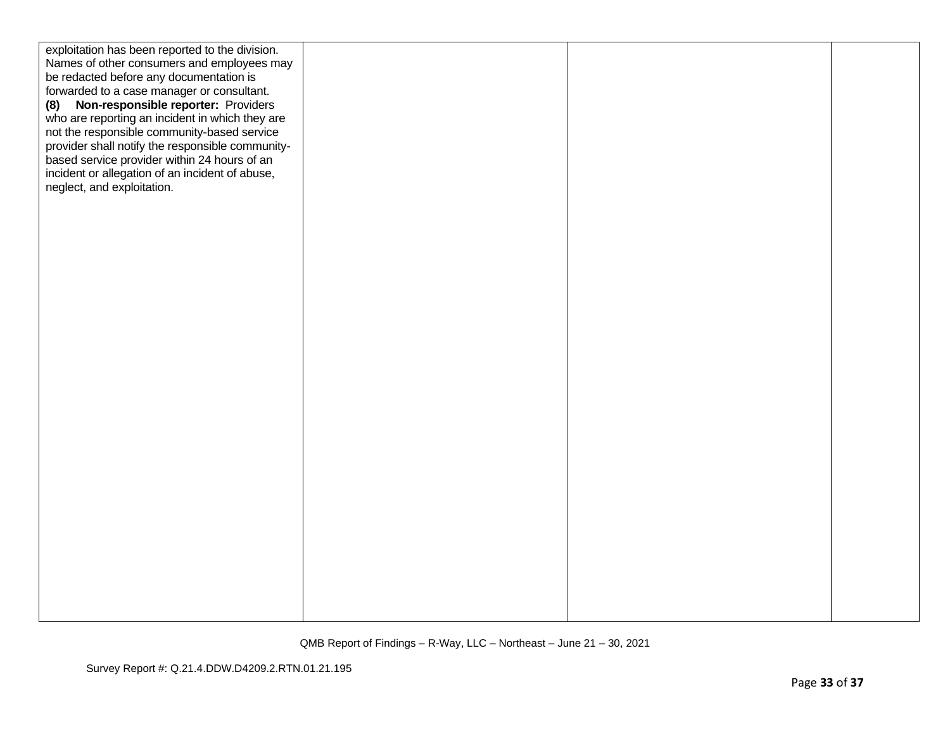| exploitation has been reported to the division.  |  |  |
|--------------------------------------------------|--|--|
| Names of other consumers and employees may       |  |  |
| be redacted before any documentation is          |  |  |
| forwarded to a case manager or consultant.       |  |  |
| Non-responsible reporter: Providers<br>(8)       |  |  |
| who are reporting an incident in which they are  |  |  |
| not the responsible community-based service      |  |  |
| provider shall notify the responsible community- |  |  |
| based service provider within 24 hours of an     |  |  |
| incident or allegation of an incident of abuse,  |  |  |
| neglect, and exploitation.                       |  |  |
|                                                  |  |  |
|                                                  |  |  |
|                                                  |  |  |
|                                                  |  |  |
|                                                  |  |  |
|                                                  |  |  |
|                                                  |  |  |
|                                                  |  |  |
|                                                  |  |  |
|                                                  |  |  |
|                                                  |  |  |
|                                                  |  |  |
|                                                  |  |  |
|                                                  |  |  |
|                                                  |  |  |
|                                                  |  |  |
|                                                  |  |  |
|                                                  |  |  |
|                                                  |  |  |
|                                                  |  |  |
|                                                  |  |  |
|                                                  |  |  |
|                                                  |  |  |
|                                                  |  |  |
|                                                  |  |  |
|                                                  |  |  |
|                                                  |  |  |
|                                                  |  |  |
|                                                  |  |  |
|                                                  |  |  |
|                                                  |  |  |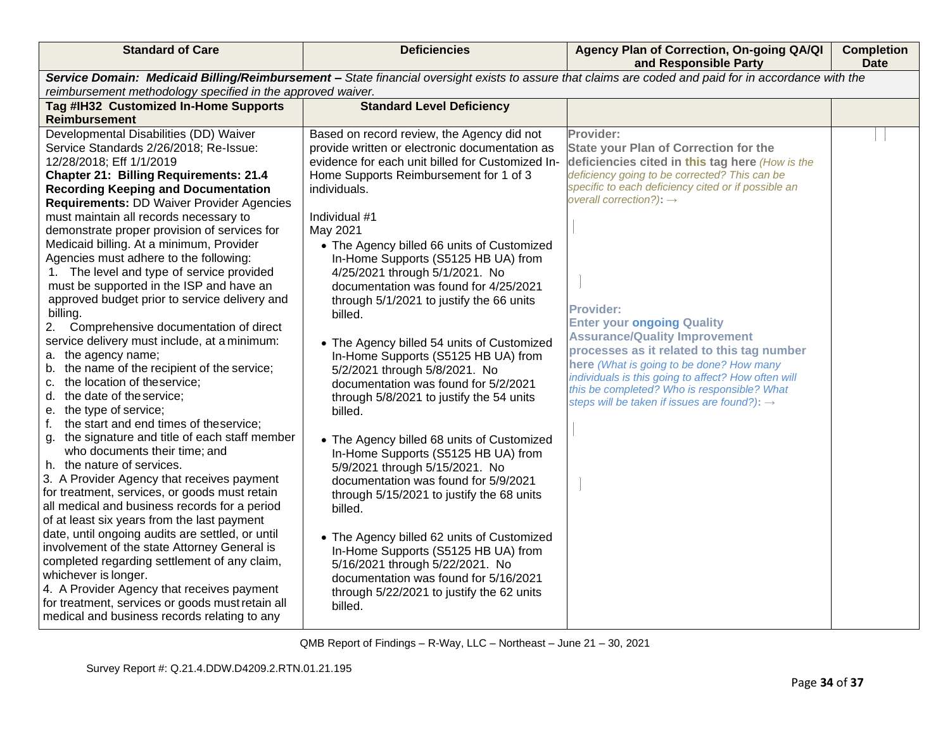| <b>Standard of Care</b>                                                        | <b>Deficiencies</b>                                                               | Agency Plan of Correction, On-going QA/QI<br>and Responsible Party                                                                                    | <b>Completion</b><br><b>Date</b> |
|--------------------------------------------------------------------------------|-----------------------------------------------------------------------------------|-------------------------------------------------------------------------------------------------------------------------------------------------------|----------------------------------|
|                                                                                |                                                                                   | Service Domain: Medicaid Billing/Reimbursement - State financial oversight exists to assure that claims are coded and paid for in accordance with the |                                  |
| reimbursement methodology specified in the approved waiver.                    |                                                                                   |                                                                                                                                                       |                                  |
| Tag #IH32 Customized In-Home Supports                                          | <b>Standard Level Deficiency</b>                                                  |                                                                                                                                                       |                                  |
| Reimbursement                                                                  |                                                                                   |                                                                                                                                                       |                                  |
| Developmental Disabilities (DD) Waiver                                         | Based on record review, the Agency did not                                        | Provider:                                                                                                                                             |                                  |
| Service Standards 2/26/2018; Re-Issue:                                         | provide written or electronic documentation as                                    | <b>State your Plan of Correction for the</b>                                                                                                          |                                  |
| 12/28/2018; Eff 1/1/2019                                                       | evidence for each unit billed for Customized In-                                  | deficiencies cited in this tag here (How is the                                                                                                       |                                  |
| <b>Chapter 21: Billing Requirements: 21.4</b>                                  | Home Supports Reimbursement for 1 of 3                                            | deficiency going to be corrected? This can be                                                                                                         |                                  |
| <b>Recording Keeping and Documentation</b>                                     | individuals.                                                                      | specific to each deficiency cited or if possible an                                                                                                   |                                  |
| <b>Requirements: DD Waiver Provider Agencies</b>                               |                                                                                   | overall correction?): $\rightarrow$                                                                                                                   |                                  |
| must maintain all records necessary to                                         | Individual #1                                                                     |                                                                                                                                                       |                                  |
| demonstrate proper provision of services for                                   | May 2021                                                                          |                                                                                                                                                       |                                  |
| Medicaid billing. At a minimum, Provider                                       | • The Agency billed 66 units of Customized                                        |                                                                                                                                                       |                                  |
| Agencies must adhere to the following:                                         | In-Home Supports (S5125 HB UA) from                                               |                                                                                                                                                       |                                  |
| 1. The level and type of service provided                                      | 4/25/2021 through 5/1/2021. No                                                    |                                                                                                                                                       |                                  |
| must be supported in the ISP and have an                                       | documentation was found for 4/25/2021                                             |                                                                                                                                                       |                                  |
| approved budget prior to service delivery and                                  | through 5/1/2021 to justify the 66 units                                          | <b>Provider:</b>                                                                                                                                      |                                  |
| billing.                                                                       | billed.                                                                           | <b>Enter your ongoing Quality</b>                                                                                                                     |                                  |
| 2. Comprehensive documentation of direct                                       |                                                                                   | <b>Assurance/Quality Improvement</b>                                                                                                                  |                                  |
| service delivery must include, at a minimum:                                   | • The Agency billed 54 units of Customized                                        | processes as it related to this tag number                                                                                                            |                                  |
| a. the agency name;                                                            | In-Home Supports (S5125 HB UA) from                                               | here (What is going to be done? How many                                                                                                              |                                  |
| b. the name of the recipient of the service;<br>c. the location of theservice; | 5/2/2021 through 5/8/2021. No                                                     | individuals is this going to affect? How often will                                                                                                   |                                  |
| d. the date of the service;                                                    | documentation was found for 5/2/2021                                              | this be completed? Who is responsible? What                                                                                                           |                                  |
| e. the type of service;                                                        | through 5/8/2021 to justify the 54 units<br>billed.                               | steps will be taken if issues are found?): $\rightarrow$                                                                                              |                                  |
| the start and end times of theservice;<br>f.                                   |                                                                                   |                                                                                                                                                       |                                  |
| g. the signature and title of each staff member                                |                                                                                   |                                                                                                                                                       |                                  |
| who documents their time; and                                                  | • The Agency billed 68 units of Customized<br>In-Home Supports (S5125 HB UA) from |                                                                                                                                                       |                                  |
| h. the nature of services.                                                     | 5/9/2021 through 5/15/2021. No                                                    |                                                                                                                                                       |                                  |
| 3. A Provider Agency that receives payment                                     | documentation was found for 5/9/2021                                              |                                                                                                                                                       |                                  |
| for treatment, services, or goods must retain                                  | through 5/15/2021 to justify the 68 units                                         |                                                                                                                                                       |                                  |
| all medical and business records for a period                                  | billed.                                                                           |                                                                                                                                                       |                                  |
| of at least six years from the last payment                                    |                                                                                   |                                                                                                                                                       |                                  |
| date, until ongoing audits are settled, or until                               | • The Agency billed 62 units of Customized                                        |                                                                                                                                                       |                                  |
| involvement of the state Attorney General is                                   | In-Home Supports (S5125 HB UA) from                                               |                                                                                                                                                       |                                  |
| completed regarding settlement of any claim,                                   | 5/16/2021 through 5/22/2021. No                                                   |                                                                                                                                                       |                                  |
| whichever is longer.                                                           | documentation was found for 5/16/2021                                             |                                                                                                                                                       |                                  |
| 4. A Provider Agency that receives payment                                     | through 5/22/2021 to justify the 62 units                                         |                                                                                                                                                       |                                  |
| for treatment, services or goods must retain all                               | billed.                                                                           |                                                                                                                                                       |                                  |
| medical and business records relating to any                                   |                                                                                   |                                                                                                                                                       |                                  |
|                                                                                | QMB Report of Findings - R-Way, LLC - Northeast - June 21 - 30, 2021              |                                                                                                                                                       |                                  |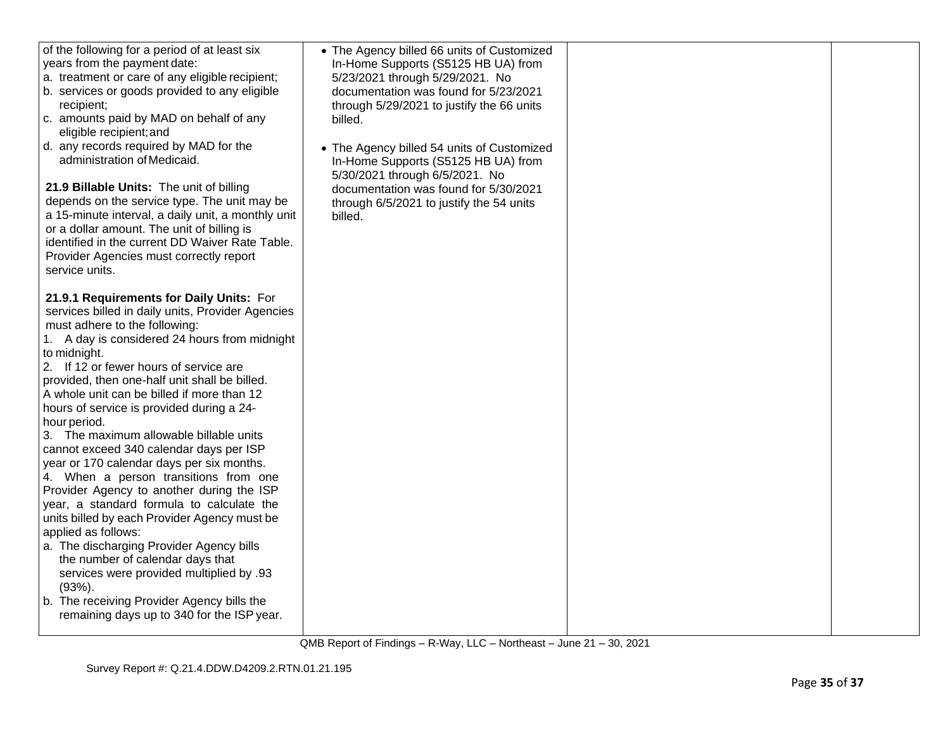| of the following for a period of at least six<br>years from the payment date:<br>a. treatment or care of any eligible recipient;<br>b. services or goods provided to any eligible<br>recipient;<br>c. amounts paid by MAD on behalf of any<br>eligible recipient; and<br>d. any records required by MAD for the<br>administration of Medicaid.<br>21.9 Billable Units: The unit of billing                                                                                                                                                                                                                                                                                                                                                                                                                                                                                                                                                                                              | • The Agency billed 66 units of Customized<br>In-Home Supports (S5125 HB UA) from<br>5/23/2021 through 5/29/2021. No<br>documentation was found for 5/23/2021<br>through 5/29/2021 to justify the 66 units<br>billed.<br>• The Agency billed 54 units of Customized<br>In-Home Supports (S5125 HB UA) from<br>5/30/2021 through 6/5/2021. No<br>documentation was found for 5/30/2021 |  |
|-----------------------------------------------------------------------------------------------------------------------------------------------------------------------------------------------------------------------------------------------------------------------------------------------------------------------------------------------------------------------------------------------------------------------------------------------------------------------------------------------------------------------------------------------------------------------------------------------------------------------------------------------------------------------------------------------------------------------------------------------------------------------------------------------------------------------------------------------------------------------------------------------------------------------------------------------------------------------------------------|---------------------------------------------------------------------------------------------------------------------------------------------------------------------------------------------------------------------------------------------------------------------------------------------------------------------------------------------------------------------------------------|--|
| depends on the service type. The unit may be<br>a 15-minute interval, a daily unit, a monthly unit<br>or a dollar amount. The unit of billing is<br>identified in the current DD Waiver Rate Table.<br>Provider Agencies must correctly report<br>service units.                                                                                                                                                                                                                                                                                                                                                                                                                                                                                                                                                                                                                                                                                                                        | through 6/5/2021 to justify the 54 units<br>billed.                                                                                                                                                                                                                                                                                                                                   |  |
| 21.9.1 Requirements for Daily Units: For<br>services billed in daily units, Provider Agencies<br>must adhere to the following:<br>1. A day is considered 24 hours from midnight<br>to midnight.<br>2. If 12 or fewer hours of service are<br>provided, then one-half unit shall be billed.<br>A whole unit can be billed if more than 12<br>hours of service is provided during a 24-<br>hour period.<br>3. The maximum allowable billable units<br>cannot exceed 340 calendar days per ISP<br>year or 170 calendar days per six months.<br>4. When a person transitions from one<br>Provider Agency to another during the ISP<br>year, a standard formula to calculate the<br>units billed by each Provider Agency must be<br>applied as follows:<br>a. The discharging Provider Agency bills<br>the number of calendar days that<br>services were provided multiplied by .93<br>$(93%)$ .<br>b. The receiving Provider Agency bills the<br>remaining days up to 340 for the ISP year. |                                                                                                                                                                                                                                                                                                                                                                                       |  |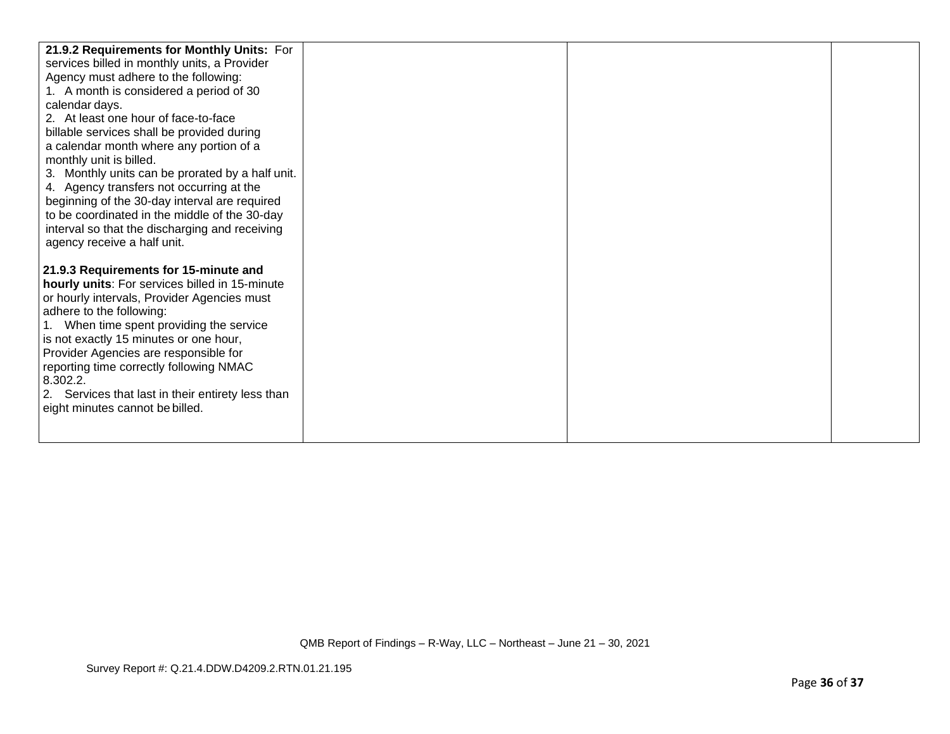| 21.9.2 Requirements for Monthly Units: For        |  |  |
|---------------------------------------------------|--|--|
| services billed in monthly units, a Provider      |  |  |
| Agency must adhere to the following:              |  |  |
| 1. A month is considered a period of 30           |  |  |
| calendar days.                                    |  |  |
| 2. At least one hour of face-to-face              |  |  |
| billable services shall be provided during        |  |  |
| a calendar month where any portion of a           |  |  |
| monthly unit is billed.                           |  |  |
| 3. Monthly units can be prorated by a half unit.  |  |  |
| 4. Agency transfers not occurring at the          |  |  |
| beginning of the 30-day interval are required     |  |  |
| to be coordinated in the middle of the 30-day     |  |  |
| interval so that the discharging and receiving    |  |  |
| agency receive a half unit.                       |  |  |
|                                                   |  |  |
| 21.9.3 Requirements for 15-minute and             |  |  |
| hourly units: For services billed in 15-minute    |  |  |
| or hourly intervals, Provider Agencies must       |  |  |
| adhere to the following:                          |  |  |
| 1. When time spent providing the service          |  |  |
| is not exactly 15 minutes or one hour,            |  |  |
| Provider Agencies are responsible for             |  |  |
| reporting time correctly following NMAC           |  |  |
| 8.302.2.                                          |  |  |
| 2. Services that last in their entirety less than |  |  |
| eight minutes cannot be billed.                   |  |  |
|                                                   |  |  |
|                                                   |  |  |